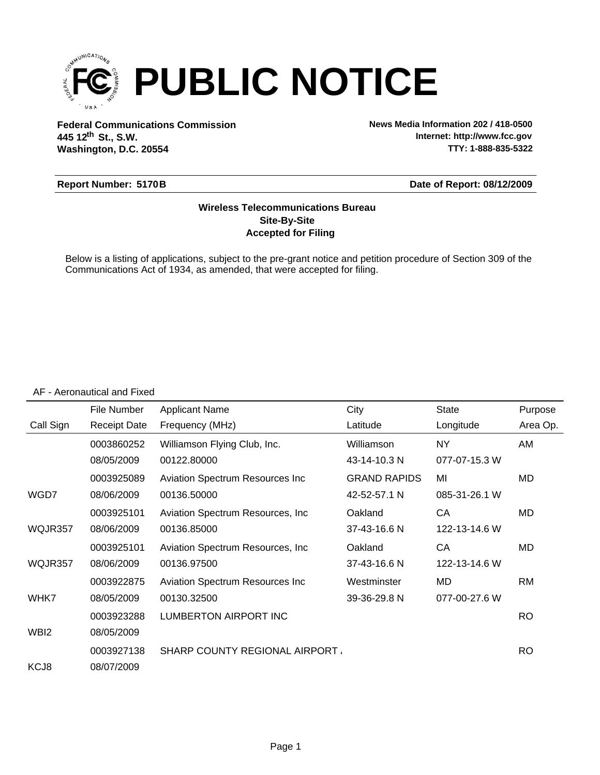

**Federal Communications Commission News Media Information 202 / 418-0500 Washington, D.C. 20554 th 445 12 St., S.W.**

**Internet: http://www.fcc.gov TTY: 1-888-835-5322**

#### **Report Number: 5170B**

#### **Date of Report: 08/12/2009**

### **Accepted for Filing Site-By-Site Wireless Telecommunications Bureau**

Below is a listing of applications, subject to the pre-grant notice and petition procedure of Section 309 of the Communications Act of 1934, as amended, that were accepted for filing.

#### AF - Aeronautical and Fixed

|           | File Number         | <b>Applicant Name</b>                 | City                | <b>State</b>  | Purpose   |
|-----------|---------------------|---------------------------------------|---------------------|---------------|-----------|
| Call Sign | <b>Receipt Date</b> | Frequency (MHz)                       | Latitude            | Longitude     | Area Op.  |
|           | 0003860252          | Williamson Flying Club, Inc.          | Williamson          | <b>NY</b>     | AM        |
|           | 08/05/2009          | 00122.80000                           | 43-14-10.3 N        | 077-07-15.3 W |           |
|           | 0003925089          | Aviation Spectrum Resources Inc       | <b>GRAND RAPIDS</b> | MI            | MD        |
| WGD7      | 08/06/2009          | 00136.50000                           | 42-52-57.1 N        | 085-31-26.1 W |           |
|           | 0003925101          | Aviation Spectrum Resources, Inc.     | Oakland             | CA            | <b>MD</b> |
| WQJR357   | 08/06/2009          | 00136.85000                           | 37-43-16.6 N        | 122-13-14.6 W |           |
|           | 0003925101          | Aviation Spectrum Resources, Inc.     | Oakland             | CA            | <b>MD</b> |
| WQJR357   | 08/06/2009          | 00136.97500                           | 37-43-16.6 N        | 122-13-14.6 W |           |
|           | 0003922875          | Aviation Spectrum Resources Inc       | Westminster         | MD            | RM        |
| WHK7      | 08/05/2009          | 00130.32500                           | 39-36-29.8 N        | 077-00-27.6 W |           |
|           | 0003923288          | LUMBERTON AIRPORT INC                 |                     |               | <b>RO</b> |
| WBI2      | 08/05/2009          |                                       |                     |               |           |
|           | 0003927138          | <b>SHARP COUNTY REGIONAL AIRPORT.</b> |                     |               | RO.       |
| KCJ8      | 08/07/2009          |                                       |                     |               |           |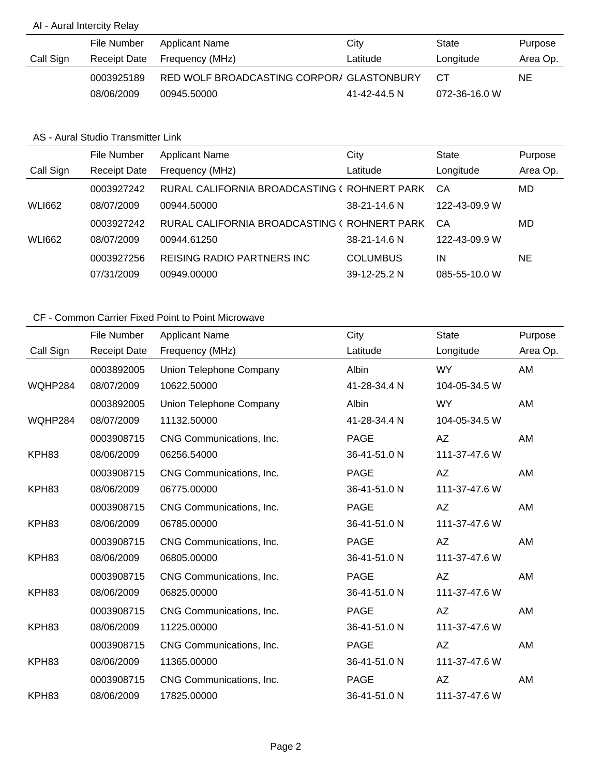## AI - Aural Intercity Relay

|           | File Number  | Applicant Name                            | City         | State         | Purpose  |
|-----------|--------------|-------------------------------------------|--------------|---------------|----------|
| Call Sign | Receipt Date | Frequency (MHz)                           | Latitude     | Longitude     | Area Op. |
|           | 0003925189   | RED WOLF BROADCASTING CORPOR/ GLASTONBURY |              | CT.           | NE.      |
|           | 08/06/2009   | 00945.50000                               | 41-42-44.5 N | 072-36-16.0 W |          |

### AS - Aural Studio Transmitter Link

|               | File Number         | <b>Applicant Name</b>                        | City            | <b>State</b>  | Purpose  |
|---------------|---------------------|----------------------------------------------|-----------------|---------------|----------|
| Call Sign     | <b>Receipt Date</b> | Frequency (MHz)                              | Latitude        | Longitude     | Area Op. |
|               | 0003927242          | RURAL CALIFORNIA BROADCASTING ( ROHNERT PARK |                 | CA            | MD       |
| <b>WLI662</b> | 08/07/2009          | 00944.50000                                  | 38-21-14.6 N    | 122-43-09.9 W |          |
|               | 0003927242          | RURAL CALIFORNIA BROADCASTING ( ROHNERT PARK |                 | CA            | MD       |
| <b>WLI662</b> | 08/07/2009          | 00944.61250                                  | $38-21-14.6 N$  | 122-43-09.9 W |          |
|               | 0003927256          | <b>REISING RADIO PARTNERS INC.</b>           | <b>COLUMBUS</b> | IN            | ΝE       |
|               | 07/31/2009          | 00949.00000                                  | 39-12-25.2 N    | 085-55-10.0 W |          |

|           | File Number         | <b>Applicant Name</b>    | City         | <b>State</b>  | Purpose  |
|-----------|---------------------|--------------------------|--------------|---------------|----------|
| Call Sign | <b>Receipt Date</b> | Frequency (MHz)          | Latitude     | Longitude     | Area Op. |
|           | 0003892005          | Union Telephone Company  | Albin        | WY.           | AM       |
| WQHP284   | 08/07/2009          | 10622.50000              | 41-28-34.4 N | 104-05-34.5 W |          |
|           | 0003892005          | Union Telephone Company  | Albin        | <b>WY</b>     | AM       |
| WQHP284   | 08/07/2009          | 11132.50000              | 41-28-34.4 N | 104-05-34.5 W |          |
|           | 0003908715          | CNG Communications, Inc. | <b>PAGE</b>  | AZ            | AM       |
| KPH83     | 08/06/2009          | 06256.54000              | 36-41-51.0 N | 111-37-47.6 W |          |
|           | 0003908715          | CNG Communications, Inc. | <b>PAGE</b>  | AZ            | AM       |
| KPH83     | 08/06/2009          | 06775.00000              | 36-41-51.0 N | 111-37-47.6 W |          |
|           | 0003908715          | CNG Communications, Inc. | <b>PAGE</b>  | AZ            | AM       |
| KPH83     | 08/06/2009          | 06785.00000              | 36-41-51.0 N | 111-37-47.6 W |          |
|           | 0003908715          | CNG Communications, Inc. | <b>PAGE</b>  | AZ            | AM       |
| KPH83     | 08/06/2009          | 06805.00000              | 36-41-51.0 N | 111-37-47.6 W |          |
|           | 0003908715          | CNG Communications, Inc. | <b>PAGE</b>  | AZ            | AM       |
| KPH83     | 08/06/2009          | 06825.00000              | 36-41-51.0 N | 111-37-47.6 W |          |
|           | 0003908715          | CNG Communications, Inc. | <b>PAGE</b>  | AZ            | AM       |
| KPH83     | 08/06/2009          | 11225.00000              | 36-41-51.0 N | 111-37-47.6 W |          |
|           | 0003908715          | CNG Communications, Inc. | <b>PAGE</b>  | AZ            | AM       |
| KPH83     | 08/06/2009          | 11365.00000              | 36-41-51.0 N | 111-37-47.6 W |          |
|           | 0003908715          | CNG Communications, Inc. | <b>PAGE</b>  | <b>AZ</b>     | AM       |
| KPH83     | 08/06/2009          | 17825.00000              | 36-41-51.0 N | 111-37-47.6 W |          |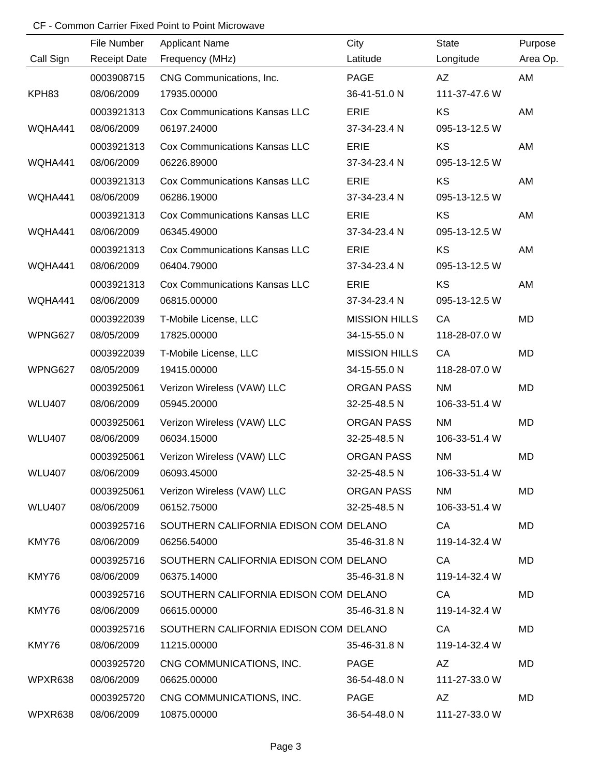|               | File Number         | <b>Applicant Name</b>                 | City                 | <b>State</b>  | Purpose  |
|---------------|---------------------|---------------------------------------|----------------------|---------------|----------|
| Call Sign     | <b>Receipt Date</b> | Frequency (MHz)                       | Latitude             | Longitude     | Area Op. |
|               | 0003908715          | CNG Communications, Inc.              | <b>PAGE</b>          | AZ            | AM       |
| KPH83         | 08/06/2009          | 17935.00000                           | 36-41-51.0 N         | 111-37-47.6 W |          |
|               | 0003921313          | <b>Cox Communications Kansas LLC</b>  | ERIE                 | KS            | AM       |
| WQHA441       | 08/06/2009          | 06197.24000                           | 37-34-23.4 N         | 095-13-12.5 W |          |
|               | 0003921313          | <b>Cox Communications Kansas LLC</b>  | <b>ERIE</b>          | KS            | AM       |
| WQHA441       | 08/06/2009          | 06226.89000                           | 37-34-23.4 N         | 095-13-12.5 W |          |
|               | 0003921313          | <b>Cox Communications Kansas LLC</b>  | ERIE                 | KS            | AM       |
| WQHA441       | 08/06/2009          | 06286.19000                           | 37-34-23.4 N         | 095-13-12.5 W |          |
|               | 0003921313          | <b>Cox Communications Kansas LLC</b>  | <b>ERIE</b>          | <b>KS</b>     | AM       |
| WQHA441       | 08/06/2009          | 06345.49000                           | 37-34-23.4 N         | 095-13-12.5 W |          |
|               | 0003921313          | <b>Cox Communications Kansas LLC</b>  | ERIE                 | KS            | AM       |
| WQHA441       | 08/06/2009          | 06404.79000                           | 37-34-23.4 N         | 095-13-12.5 W |          |
|               | 0003921313          | <b>Cox Communications Kansas LLC</b>  | ERIE                 | KS            | AM       |
| WQHA441       | 08/06/2009          | 06815.00000                           | 37-34-23.4 N         | 095-13-12.5 W |          |
|               | 0003922039          | T-Mobile License, LLC                 | <b>MISSION HILLS</b> | CA            | MD       |
| WPNG627       | 08/05/2009          | 17825.00000                           | 34-15-55.0 N         | 118-28-07.0 W |          |
|               | 0003922039          | T-Mobile License, LLC                 | <b>MISSION HILLS</b> | CA            | MD       |
| WPNG627       | 08/05/2009          | 19415.00000                           | 34-15-55.0 N         | 118-28-07.0 W |          |
|               | 0003925061          | Verizon Wireless (VAW) LLC            | <b>ORGAN PASS</b>    | <b>NM</b>     | MD       |
| <b>WLU407</b> | 08/06/2009          | 05945.20000                           | 32-25-48.5 N         | 106-33-51.4 W |          |
|               | 0003925061          | Verizon Wireless (VAW) LLC            | <b>ORGAN PASS</b>    | <b>NM</b>     | MD       |
| <b>WLU407</b> | 08/06/2009          | 06034.15000                           | 32-25-48.5 N         | 106-33-51.4 W |          |
|               | 0003925061          | Verizon Wireless (VAW) LLC            | <b>ORGAN PASS</b>    | <b>NM</b>     | MD       |
| <b>WLU407</b> | 08/06/2009          | 06093.45000                           | 32-25-48.5 N         | 106-33-51.4 W |          |
|               | 0003925061          | Verizon Wireless (VAW) LLC            | ORGAN PASS           | <b>NM</b>     | MD       |
| <b>WLU407</b> | 08/06/2009          | 06152.75000                           | 32-25-48.5 N         | 106-33-51.4 W |          |
|               | 0003925716          | SOUTHERN CALIFORNIA EDISON COM DELANO |                      | CA            | MD       |
| KMY76         | 08/06/2009          | 06256.54000                           | 35-46-31.8 N         | 119-14-32.4 W |          |
|               | 0003925716          | SOUTHERN CALIFORNIA EDISON COM DELANO |                      | CA            | MD       |
| KMY76         | 08/06/2009          | 06375.14000                           | 35-46-31.8 N         | 119-14-32.4 W |          |
|               | 0003925716          | SOUTHERN CALIFORNIA EDISON COM DELANO |                      | CA            | MD       |
| KMY76         | 08/06/2009          | 06615.00000                           | 35-46-31.8 N         | 119-14-32.4 W |          |
|               | 0003925716          | SOUTHERN CALIFORNIA EDISON COM DELANO |                      | CA            | MD       |
| KMY76         | 08/06/2009          | 11215.00000                           | 35-46-31.8 N         | 119-14-32.4 W |          |
|               | 0003925720          | CNG COMMUNICATIONS, INC.              | PAGE                 | AZ            | MD       |
| WPXR638       | 08/06/2009          | 06625.00000                           | 36-54-48.0 N         | 111-27-33.0 W |          |
|               | 0003925720          | CNG COMMUNICATIONS, INC.              | PAGE                 | AZ            | MD       |
| WPXR638       | 08/06/2009          | 10875.00000                           | 36-54-48.0 N         | 111-27-33.0 W |          |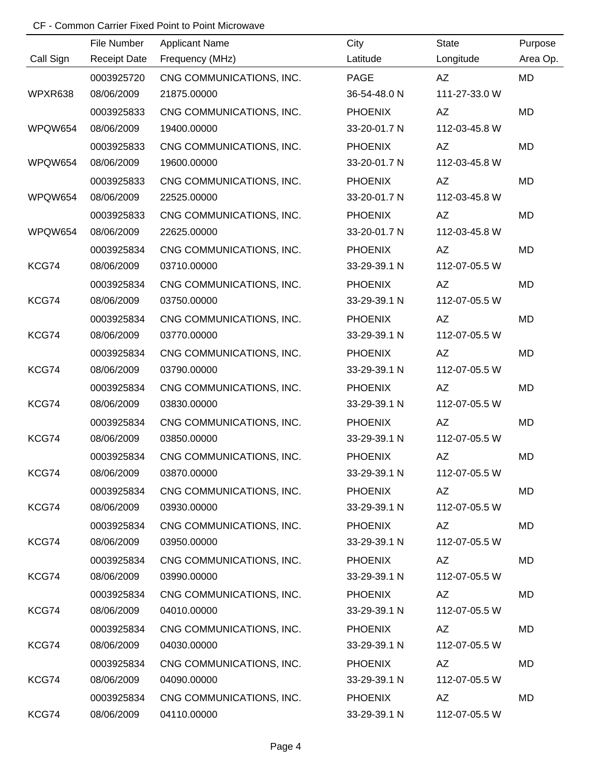|           | File Number         | <b>Applicant Name</b>    | City           | <b>State</b>  | Purpose   |
|-----------|---------------------|--------------------------|----------------|---------------|-----------|
| Call Sign | <b>Receipt Date</b> | Frequency (MHz)          | Latitude       | Longitude     | Area Op.  |
|           | 0003925720          | CNG COMMUNICATIONS, INC. | <b>PAGE</b>    | AZ            | MD        |
| WPXR638   | 08/06/2009          | 21875.00000              | 36-54-48.0 N   | 111-27-33.0 W |           |
|           | 0003925833          | CNG COMMUNICATIONS, INC. | <b>PHOENIX</b> | AZ            | MD        |
| WPQW654   | 08/06/2009          | 19400.00000              | 33-20-01.7 N   | 112-03-45.8 W |           |
|           | 0003925833          | CNG COMMUNICATIONS, INC. | <b>PHOENIX</b> | AZ            | <b>MD</b> |
| WPQW654   | 08/06/2009          | 19600.00000              | 33-20-01.7 N   | 112-03-45.8 W |           |
|           | 0003925833          | CNG COMMUNICATIONS, INC. | <b>PHOENIX</b> | AZ            | <b>MD</b> |
| WPQW654   | 08/06/2009          | 22525.00000              | 33-20-01.7 N   | 112-03-45.8 W |           |
|           | 0003925833          | CNG COMMUNICATIONS, INC. | <b>PHOENIX</b> | AZ            | <b>MD</b> |
| WPQW654   | 08/06/2009          | 22625.00000              | 33-20-01.7 N   | 112-03-45.8 W |           |
|           | 0003925834          | CNG COMMUNICATIONS, INC. | <b>PHOENIX</b> | AZ            | <b>MD</b> |
| KCG74     | 08/06/2009          | 03710.00000              | 33-29-39.1 N   | 112-07-05.5 W |           |
|           | 0003925834          | CNG COMMUNICATIONS, INC. | <b>PHOENIX</b> | AZ            | <b>MD</b> |
| KCG74     | 08/06/2009          | 03750.00000              | 33-29-39.1 N   | 112-07-05.5 W |           |
|           | 0003925834          | CNG COMMUNICATIONS, INC. | <b>PHOENIX</b> | AZ            | <b>MD</b> |
| KCG74     | 08/06/2009          | 03770.00000              | 33-29-39.1 N   | 112-07-05.5 W |           |
|           | 0003925834          | CNG COMMUNICATIONS, INC. | <b>PHOENIX</b> | AZ            | <b>MD</b> |
| KCG74     | 08/06/2009          | 03790.00000              | 33-29-39.1 N   | 112-07-05.5 W |           |
|           | 0003925834          | CNG COMMUNICATIONS, INC. | <b>PHOENIX</b> | AZ            | <b>MD</b> |
| KCG74     | 08/06/2009          | 03830.00000              | 33-29-39.1 N   | 112-07-05.5 W |           |
|           | 0003925834          | CNG COMMUNICATIONS, INC. | <b>PHOENIX</b> | AZ            | <b>MD</b> |
| KCG74     | 08/06/2009          | 03850.00000              | 33-29-39.1 N   | 112-07-05.5 W |           |
|           | 0003925834          | CNG COMMUNICATIONS, INC. | <b>PHOENIX</b> | AZ            | <b>MD</b> |
| KCG74     | 08/06/2009          | 03870.00000              | 33-29-39.1 N   | 112-07-05.5 W |           |
|           | 0003925834          | CNG COMMUNICATIONS, INC. | <b>PHOENIX</b> | AZ            | MD        |
| KCG74     | 08/06/2009          | 03930.00000              | 33-29-39.1 N   | 112-07-05.5 W |           |
|           | 0003925834          | CNG COMMUNICATIONS, INC. | <b>PHOENIX</b> | AZ            | MD        |
| KCG74     | 08/06/2009          | 03950.00000              | 33-29-39.1 N   | 112-07-05.5 W |           |
|           | 0003925834          | CNG COMMUNICATIONS, INC. | <b>PHOENIX</b> | AZ            | MD        |
| KCG74     | 08/06/2009          | 03990.00000              | 33-29-39.1 N   | 112-07-05.5 W |           |
|           | 0003925834          | CNG COMMUNICATIONS, INC. | <b>PHOENIX</b> | AZ            | MD        |
| KCG74     | 08/06/2009          | 04010.00000              | 33-29-39.1 N   | 112-07-05.5 W |           |
|           | 0003925834          | CNG COMMUNICATIONS, INC. | <b>PHOENIX</b> | AZ            | MD        |
| KCG74     | 08/06/2009          | 04030.00000              | 33-29-39.1 N   | 112-07-05.5 W |           |
|           | 0003925834          | CNG COMMUNICATIONS, INC. | <b>PHOENIX</b> | AZ            | MD        |
| KCG74     | 08/06/2009          | 04090.00000              | 33-29-39.1 N   | 112-07-05.5 W |           |
|           | 0003925834          | CNG COMMUNICATIONS, INC. | <b>PHOENIX</b> | AZ            | MD        |
| KCG74     | 08/06/2009          | 04110.00000              | 33-29-39.1 N   | 112-07-05.5 W |           |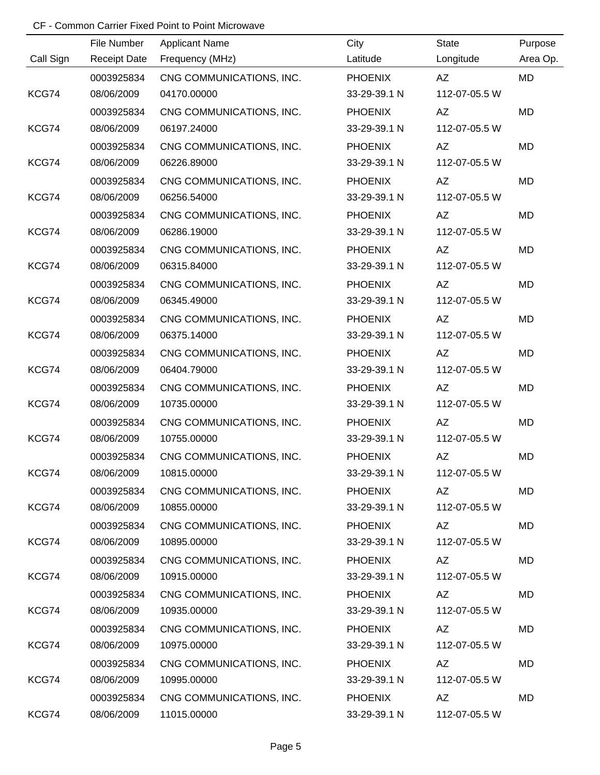|           | File Number         | <b>Applicant Name</b>    | City           | <b>State</b>  | Purpose   |
|-----------|---------------------|--------------------------|----------------|---------------|-----------|
| Call Sign | <b>Receipt Date</b> | Frequency (MHz)          | Latitude       | Longitude     | Area Op.  |
|           | 0003925834          | CNG COMMUNICATIONS, INC. | <b>PHOENIX</b> | AZ            | MD        |
| KCG74     | 08/06/2009          | 04170.00000              | 33-29-39.1 N   | 112-07-05.5 W |           |
|           | 0003925834          | CNG COMMUNICATIONS, INC. | <b>PHOENIX</b> | AZ            | <b>MD</b> |
| KCG74     | 08/06/2009          | 06197.24000              | 33-29-39.1 N   | 112-07-05.5 W |           |
|           | 0003925834          | CNG COMMUNICATIONS, INC. | <b>PHOENIX</b> | AZ            | <b>MD</b> |
| KCG74     | 08/06/2009          | 06226.89000              | 33-29-39.1 N   | 112-07-05.5 W |           |
|           | 0003925834          | CNG COMMUNICATIONS, INC. | <b>PHOENIX</b> | AZ            | <b>MD</b> |
| KCG74     | 08/06/2009          | 06256.54000              | 33-29-39.1 N   | 112-07-05.5 W |           |
|           | 0003925834          | CNG COMMUNICATIONS, INC. | <b>PHOENIX</b> | AZ            | <b>MD</b> |
| KCG74     | 08/06/2009          | 06286.19000              | 33-29-39.1 N   | 112-07-05.5 W |           |
|           | 0003925834          | CNG COMMUNICATIONS, INC. | <b>PHOENIX</b> | AZ            | <b>MD</b> |
| KCG74     | 08/06/2009          | 06315.84000              | 33-29-39.1 N   | 112-07-05.5 W |           |
|           | 0003925834          | CNG COMMUNICATIONS, INC. | <b>PHOENIX</b> | AZ            | <b>MD</b> |
| KCG74     | 08/06/2009          | 06345.49000              | 33-29-39.1 N   | 112-07-05.5 W |           |
|           | 0003925834          | CNG COMMUNICATIONS, INC. | <b>PHOENIX</b> | AZ            | <b>MD</b> |
| KCG74     | 08/06/2009          | 06375.14000              | 33-29-39.1 N   | 112-07-05.5 W |           |
|           | 0003925834          | CNG COMMUNICATIONS, INC. | <b>PHOENIX</b> | AZ            | <b>MD</b> |
| KCG74     | 08/06/2009          | 06404.79000              | 33-29-39.1 N   | 112-07-05.5 W |           |
|           | 0003925834          | CNG COMMUNICATIONS, INC. | <b>PHOENIX</b> | AZ            | <b>MD</b> |
| KCG74     | 08/06/2009          | 10735.00000              | 33-29-39.1 N   | 112-07-05.5 W |           |
|           | 0003925834          | CNG COMMUNICATIONS, INC. | <b>PHOENIX</b> | AZ            | <b>MD</b> |
| KCG74     | 08/06/2009          | 10755.00000              | 33-29-39.1 N   | 112-07-05.5 W |           |
|           | 0003925834          | CNG COMMUNICATIONS, INC. | <b>PHOENIX</b> | AZ            | <b>MD</b> |
| KCG74     | 08/06/2009          | 10815.00000              | 33-29-39.1 N   | 112-07-05.5 W |           |
|           | 0003925834          | CNG COMMUNICATIONS, INC. | <b>PHOENIX</b> | AZ            | MD        |
| KCG74     | 08/06/2009          | 10855.00000              | 33-29-39.1 N   | 112-07-05.5 W |           |
|           | 0003925834          | CNG COMMUNICATIONS, INC. | <b>PHOENIX</b> | AZ            | MD        |
| KCG74     | 08/06/2009          | 10895.00000              | 33-29-39.1 N   | 112-07-05.5 W |           |
|           | 0003925834          | CNG COMMUNICATIONS, INC. | <b>PHOENIX</b> | AZ            | MD        |
| KCG74     | 08/06/2009          | 10915.00000              | 33-29-39.1 N   | 112-07-05.5 W |           |
|           | 0003925834          | CNG COMMUNICATIONS, INC. | <b>PHOENIX</b> | AZ            | MD        |
| KCG74     | 08/06/2009          | 10935.00000              | 33-29-39.1 N   | 112-07-05.5 W |           |
|           | 0003925834          | CNG COMMUNICATIONS, INC. | <b>PHOENIX</b> | AZ            | MD        |
| KCG74     | 08/06/2009          | 10975.00000              | 33-29-39.1 N   | 112-07-05.5 W |           |
|           | 0003925834          | CNG COMMUNICATIONS, INC. | <b>PHOENIX</b> | AZ            | MD        |
| KCG74     | 08/06/2009          | 10995.00000              | 33-29-39.1 N   | 112-07-05.5 W |           |
|           | 0003925834          | CNG COMMUNICATIONS, INC. | <b>PHOENIX</b> | AZ            | MD        |
| KCG74     | 08/06/2009          | 11015.00000              | 33-29-39.1 N   | 112-07-05.5 W |           |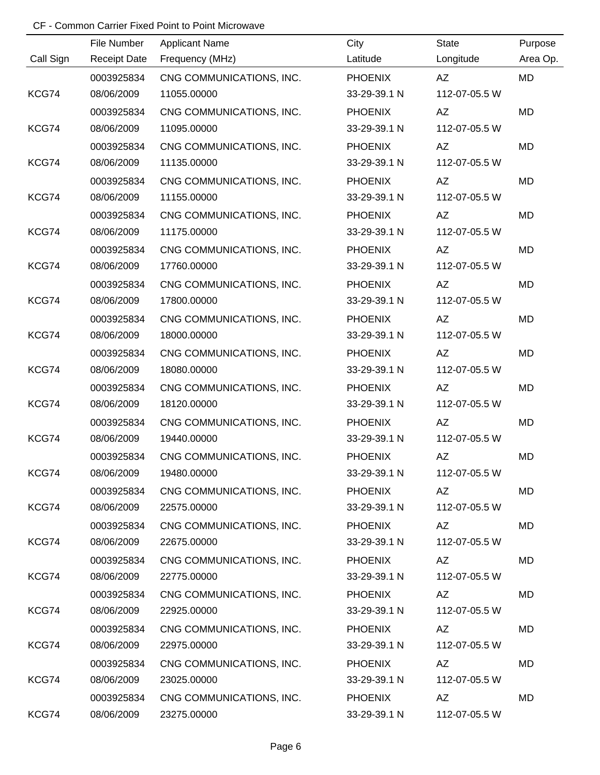|           | File Number         | <b>Applicant Name</b>    | City           | <b>State</b>  | Purpose   |
|-----------|---------------------|--------------------------|----------------|---------------|-----------|
| Call Sign | <b>Receipt Date</b> | Frequency (MHz)          | Latitude       | Longitude     | Area Op.  |
|           | 0003925834          | CNG COMMUNICATIONS, INC. | <b>PHOENIX</b> | AZ            | MD        |
| KCG74     | 08/06/2009          | 11055.00000              | 33-29-39.1 N   | 112-07-05.5 W |           |
|           | 0003925834          | CNG COMMUNICATIONS, INC. | <b>PHOENIX</b> | AZ            | <b>MD</b> |
| KCG74     | 08/06/2009          | 11095.00000              | 33-29-39.1 N   | 112-07-05.5 W |           |
|           | 0003925834          | CNG COMMUNICATIONS, INC. | <b>PHOENIX</b> | AZ            | <b>MD</b> |
| KCG74     | 08/06/2009          | 11135.00000              | 33-29-39.1 N   | 112-07-05.5 W |           |
|           | 0003925834          | CNG COMMUNICATIONS, INC. | <b>PHOENIX</b> | AZ            | <b>MD</b> |
| KCG74     | 08/06/2009          | 11155.00000              | 33-29-39.1 N   | 112-07-05.5 W |           |
|           | 0003925834          | CNG COMMUNICATIONS, INC. | <b>PHOENIX</b> | AZ            | <b>MD</b> |
| KCG74     | 08/06/2009          | 11175.00000              | 33-29-39.1 N   | 112-07-05.5 W |           |
|           | 0003925834          | CNG COMMUNICATIONS, INC. | <b>PHOENIX</b> | AZ            | <b>MD</b> |
| KCG74     | 08/06/2009          | 17760.00000              | 33-29-39.1 N   | 112-07-05.5 W |           |
|           | 0003925834          | CNG COMMUNICATIONS, INC. | <b>PHOENIX</b> | AZ            | <b>MD</b> |
| KCG74     | 08/06/2009          | 17800.00000              | 33-29-39.1 N   | 112-07-05.5 W |           |
|           | 0003925834          | CNG COMMUNICATIONS, INC. | <b>PHOENIX</b> | AZ            | <b>MD</b> |
| KCG74     | 08/06/2009          | 18000.00000              | 33-29-39.1 N   | 112-07-05.5 W |           |
|           | 0003925834          | CNG COMMUNICATIONS, INC. | <b>PHOENIX</b> | AZ            | <b>MD</b> |
| KCG74     | 08/06/2009          | 18080.00000              | 33-29-39.1 N   | 112-07-05.5 W |           |
|           | 0003925834          | CNG COMMUNICATIONS, INC. | <b>PHOENIX</b> | AZ            | <b>MD</b> |
| KCG74     | 08/06/2009          | 18120.00000              | 33-29-39.1 N   | 112-07-05.5 W |           |
|           | 0003925834          | CNG COMMUNICATIONS, INC. | <b>PHOENIX</b> | AZ            | <b>MD</b> |
| KCG74     | 08/06/2009          | 19440.00000              | 33-29-39.1 N   | 112-07-05.5 W |           |
|           | 0003925834          | CNG COMMUNICATIONS, INC. | <b>PHOENIX</b> | AZ            | <b>MD</b> |
| KCG74     | 08/06/2009          | 19480.00000              | 33-29-39.1 N   | 112-07-05.5 W |           |
|           | 0003925834          | CNG COMMUNICATIONS, INC. | <b>PHOENIX</b> | AZ            | MD        |
| KCG74     | 08/06/2009          | 22575.00000              | 33-29-39.1 N   | 112-07-05.5 W |           |
|           | 0003925834          | CNG COMMUNICATIONS, INC. | <b>PHOENIX</b> | AZ            | MD        |
| KCG74     | 08/06/2009          | 22675.00000              | 33-29-39.1 N   | 112-07-05.5 W |           |
|           | 0003925834          | CNG COMMUNICATIONS, INC. | <b>PHOENIX</b> | AZ            | MD        |
| KCG74     | 08/06/2009          | 22775.00000              | 33-29-39.1 N   | 112-07-05.5 W |           |
|           | 0003925834          | CNG COMMUNICATIONS, INC. | <b>PHOENIX</b> | AZ            | MD        |
| KCG74     | 08/06/2009          | 22925.00000              | 33-29-39.1 N   | 112-07-05.5 W |           |
|           | 0003925834          | CNG COMMUNICATIONS, INC. | <b>PHOENIX</b> | AZ            | MD        |
| KCG74     | 08/06/2009          | 22975.00000              | 33-29-39.1 N   | 112-07-05.5 W |           |
|           | 0003925834          | CNG COMMUNICATIONS, INC. | <b>PHOENIX</b> | AZ            | MD        |
| KCG74     | 08/06/2009          | 23025.00000              | 33-29-39.1 N   | 112-07-05.5 W |           |
|           | 0003925834          | CNG COMMUNICATIONS, INC. | <b>PHOENIX</b> | AZ            | MD        |
| KCG74     | 08/06/2009          | 23275.00000              | 33-29-39.1 N   | 112-07-05.5 W |           |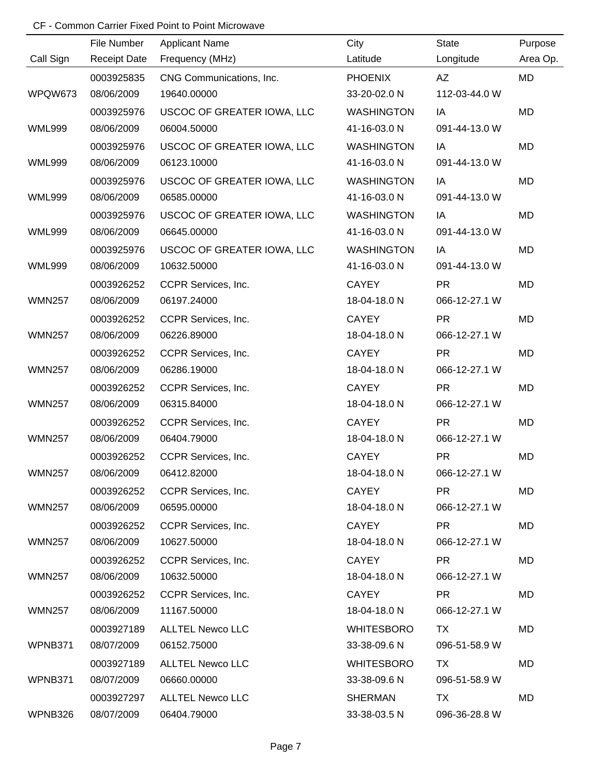|               | File Number         | <b>Applicant Name</b>      | City              | State         | Purpose   |
|---------------|---------------------|----------------------------|-------------------|---------------|-----------|
| Call Sign     | <b>Receipt Date</b> | Frequency (MHz)            | Latitude          | Longitude     | Area Op.  |
|               | 0003925835          | CNG Communications, Inc.   | <b>PHOENIX</b>    | AZ            | <b>MD</b> |
| WPQW673       | 08/06/2009          | 19640.00000                | 33-20-02.0 N      | 112-03-44.0 W |           |
|               | 0003925976          | USCOC OF GREATER IOWA, LLC | <b>WASHINGTON</b> | IA            | <b>MD</b> |
| <b>WML999</b> | 08/06/2009          | 06004.50000                | 41-16-03.0 N      | 091-44-13.0 W |           |
|               | 0003925976          | USCOC OF GREATER IOWA, LLC | <b>WASHINGTON</b> | IA            | MD        |
| <b>WML999</b> | 08/06/2009          | 06123.10000                | 41-16-03.0 N      | 091-44-13.0 W |           |
|               | 0003925976          | USCOC OF GREATER IOWA, LLC | <b>WASHINGTON</b> | IA            | MD        |
| <b>WML999</b> | 08/06/2009          | 06585.00000                | 41-16-03.0 N      | 091-44-13.0 W |           |
|               | 0003925976          | USCOC OF GREATER IOWA, LLC | <b>WASHINGTON</b> | IA            | MD        |
| <b>WML999</b> | 08/06/2009          | 06645.00000                | 41-16-03.0 N      | 091-44-13.0 W |           |
|               | 0003925976          | USCOC OF GREATER IOWA, LLC | <b>WASHINGTON</b> | IA            | MD        |
| <b>WML999</b> | 08/06/2009          | 10632.50000                | 41-16-03.0 N      | 091-44-13.0 W |           |
|               | 0003926252          | CCPR Services, Inc.        | <b>CAYEY</b>      | <b>PR</b>     | MD        |
| <b>WMN257</b> | 08/06/2009          | 06197.24000                | 18-04-18.0 N      | 066-12-27.1 W |           |
|               | 0003926252          | CCPR Services, Inc.        | <b>CAYEY</b>      | <b>PR</b>     | MD        |
| <b>WMN257</b> | 08/06/2009          | 06226.89000                | 18-04-18.0 N      | 066-12-27.1 W |           |
|               | 0003926252          | CCPR Services, Inc.        | <b>CAYEY</b>      | <b>PR</b>     | MD        |
| <b>WMN257</b> | 08/06/2009          | 06286.19000                | 18-04-18.0 N      | 066-12-27.1 W |           |
|               | 0003926252          | CCPR Services, Inc.        | <b>CAYEY</b>      | <b>PR</b>     | MD        |
| <b>WMN257</b> | 08/06/2009          | 06315.84000                | 18-04-18.0 N      | 066-12-27.1 W |           |
|               | 0003926252          | CCPR Services, Inc.        | <b>CAYEY</b>      | <b>PR</b>     | MD        |
| <b>WMN257</b> | 08/06/2009          | 06404.79000                | 18-04-18.0 N      | 066-12-27.1 W |           |
|               | 0003926252          | CCPR Services, Inc.        | <b>CAYEY</b>      | <b>PR</b>     | <b>MD</b> |
| <b>WMN257</b> | 08/06/2009          | 06412.82000                | 18-04-18.0 N      | 066-12-27.1 W |           |
|               | 0003926252          | CCPR Services, Inc.        | CAYEY             | <b>PR</b>     | MD        |
| <b>WMN257</b> | 08/06/2009          | 06595.00000                | 18-04-18.0 N      | 066-12-27.1 W |           |
|               | 0003926252          | CCPR Services, Inc.        | CAYEY             | PR.           | MD        |
| <b>WMN257</b> | 08/06/2009          | 10627.50000                | 18-04-18.0 N      | 066-12-27.1 W |           |
|               | 0003926252          | CCPR Services, Inc.        | CAYEY             | <b>PR</b>     | MD        |
| <b>WMN257</b> | 08/06/2009          | 10632.50000                | 18-04-18.0 N      | 066-12-27.1 W |           |
|               | 0003926252          | CCPR Services, Inc.        | CAYEY             | <b>PR</b>     | MD        |
| <b>WMN257</b> | 08/06/2009          | 11167.50000                | 18-04-18.0 N      | 066-12-27.1 W |           |
|               | 0003927189          | <b>ALLTEL Newco LLC</b>    | <b>WHITESBORO</b> | TX.           | MD        |
| WPNB371       | 08/07/2009          | 06152.75000                | 33-38-09.6 N      | 096-51-58.9 W |           |
|               | 0003927189          | <b>ALLTEL Newco LLC</b>    | <b>WHITESBORO</b> | TX.           | MD        |
| WPNB371       | 08/07/2009          | 06660.00000                | 33-38-09.6 N      | 096-51-58.9 W |           |
|               | 0003927297          | <b>ALLTEL Newco LLC</b>    | SHERMAN           | <b>TX</b>     | MD        |
| WPNB326       | 08/07/2009          | 06404.79000                | 33-38-03.5 N      | 096-36-28.8 W |           |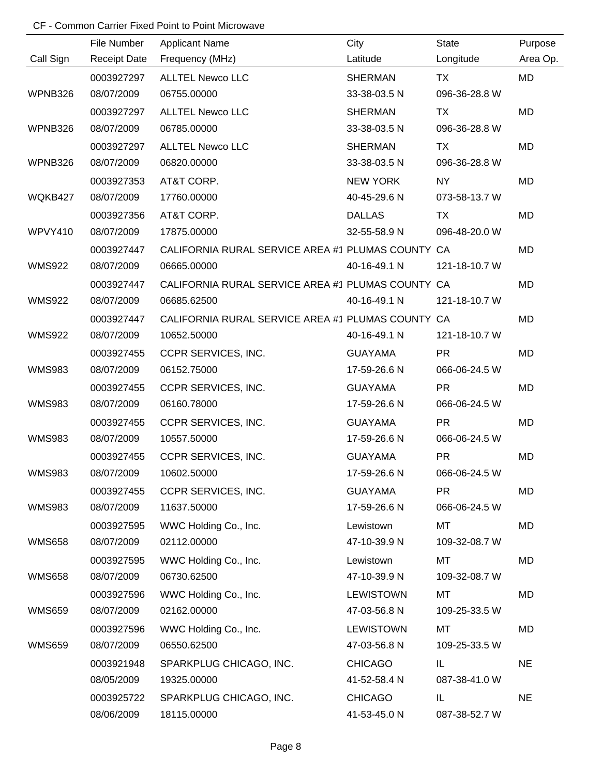|               | File Number         | <b>Applicant Name</b>                             | City             | <b>State</b>  | Purpose   |
|---------------|---------------------|---------------------------------------------------|------------------|---------------|-----------|
| Call Sign     | <b>Receipt Date</b> | Frequency (MHz)                                   | Latitude         | Longitude     | Area Op.  |
|               | 0003927297          | <b>ALLTEL Newco LLC</b>                           | <b>SHERMAN</b>   | <b>TX</b>     | <b>MD</b> |
| WPNB326       | 08/07/2009          | 06755.00000                                       | 33-38-03.5 N     | 096-36-28.8 W |           |
|               | 0003927297          | <b>ALLTEL Newco LLC</b>                           | <b>SHERMAN</b>   | <b>TX</b>     | <b>MD</b> |
| WPNB326       | 08/07/2009          | 06785.00000                                       | 33-38-03.5 N     | 096-36-28.8 W |           |
|               | 0003927297          | <b>ALLTEL Newco LLC</b>                           | <b>SHERMAN</b>   | TX            | <b>MD</b> |
| WPNB326       | 08/07/2009          | 06820.00000                                       | 33-38-03.5 N     | 096-36-28.8 W |           |
|               | 0003927353          | AT&T CORP.                                        | <b>NEW YORK</b>  | <b>NY</b>     | <b>MD</b> |
| WQKB427       | 08/07/2009          | 17760.00000                                       | 40-45-29.6 N     | 073-58-13.7 W |           |
|               | 0003927356          | AT&T CORP.                                        | <b>DALLAS</b>    | TX            | <b>MD</b> |
| WPVY410       | 08/07/2009          | 17875.00000                                       | 32-55-58.9 N     | 096-48-20.0 W |           |
|               | 0003927447          | CALIFORNIA RURAL SERVICE AREA #1 PLUMAS COUNTY CA |                  |               | <b>MD</b> |
| <b>WMS922</b> | 08/07/2009          | 06665.00000                                       | 40-16-49.1 N     | 121-18-10.7 W |           |
|               | 0003927447          | CALIFORNIA RURAL SERVICE AREA #1 PLUMAS COUNTY CA |                  |               | MD        |
| <b>WMS922</b> | 08/07/2009          | 06685.62500                                       | 40-16-49.1 N     | 121-18-10.7 W |           |
|               | 0003927447          | CALIFORNIA RURAL SERVICE AREA #1 PLUMAS COUNTY CA |                  |               | MD        |
| <b>WMS922</b> | 08/07/2009          | 10652.50000                                       | 40-16-49.1 N     | 121-18-10.7 W |           |
|               | 0003927455          | CCPR SERVICES, INC.                               | <b>GUAYAMA</b>   | <b>PR</b>     | <b>MD</b> |
| <b>WMS983</b> | 08/07/2009          | 06152.75000                                       | 17-59-26.6 N     | 066-06-24.5 W |           |
|               | 0003927455          | CCPR SERVICES, INC.                               | <b>GUAYAMA</b>   | <b>PR</b>     | <b>MD</b> |
| <b>WMS983</b> | 08/07/2009          | 06160.78000                                       | 17-59-26.6 N     | 066-06-24.5 W |           |
|               | 0003927455          | CCPR SERVICES, INC.                               | <b>GUAYAMA</b>   | <b>PR</b>     | MD        |
| <b>WMS983</b> | 08/07/2009          | 10557.50000                                       | 17-59-26.6 N     | 066-06-24.5 W |           |
|               | 0003927455          | CCPR SERVICES, INC.                               | <b>GUAYAMA</b>   | <b>PR</b>     | MD        |
| <b>WMS983</b> | 08/07/2009          | 10602.50000                                       | 17-59-26.6 N     | 066-06-24.5 W |           |
|               | 0003927455          | CCPR SERVICES, INC.                               | <b>GUAYAMA</b>   | <b>PR</b>     | MD        |
| <b>WMS983</b> | 08/07/2009          | 11637.50000                                       | 17-59-26.6 N     | 066-06-24.5 W |           |
|               | 0003927595          | WWC Holding Co., Inc.                             | Lewistown        | МT            | MD        |
| <b>WMS658</b> | 08/07/2009          | 02112.00000                                       | 47-10-39.9 N     | 109-32-08.7 W |           |
|               | 0003927595          | WWC Holding Co., Inc.                             | Lewistown        | МT            | MD        |
| <b>WMS658</b> | 08/07/2009          | 06730.62500                                       | 47-10-39.9 N     | 109-32-08.7 W |           |
|               | 0003927596          | WWC Holding Co., Inc.                             | <b>LEWISTOWN</b> | MT            | MD        |
| <b>WMS659</b> | 08/07/2009          | 02162.00000                                       | 47-03-56.8 N     | 109-25-33.5 W |           |
|               | 0003927596          | WWC Holding Co., Inc.                             | <b>LEWISTOWN</b> | МT            | MD        |
| <b>WMS659</b> | 08/07/2009          | 06550.62500                                       | 47-03-56.8 N     | 109-25-33.5 W |           |
|               | 0003921948          | SPARKPLUG CHICAGO, INC.                           | <b>CHICAGO</b>   | IL            | <b>NE</b> |
|               | 08/05/2009          | 19325.00000                                       | 41-52-58.4 N     | 087-38-41.0 W |           |
|               | 0003925722          | SPARKPLUG CHICAGO, INC.                           | <b>CHICAGO</b>   | IL            | <b>NE</b> |
|               | 08/06/2009          | 18115.00000                                       | 41-53-45.0 N     | 087-38-52.7 W |           |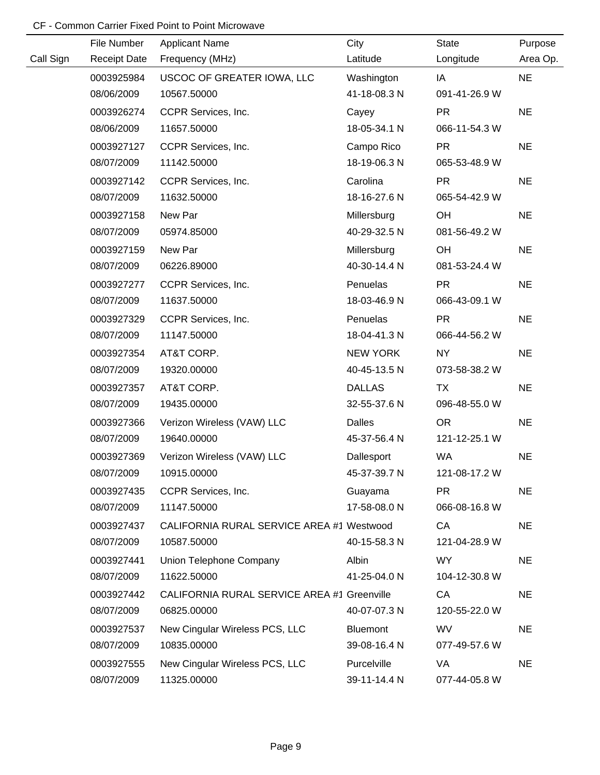|           | File Number         | <b>Applicant Name</b>                       | City            | State         | Purpose   |
|-----------|---------------------|---------------------------------------------|-----------------|---------------|-----------|
| Call Sign | <b>Receipt Date</b> | Frequency (MHz)                             | Latitude        | Longitude     | Area Op.  |
|           | 0003925984          | USCOC OF GREATER IOWA, LLC                  | Washington      | IA            | <b>NE</b> |
|           | 08/06/2009          | 10567.50000                                 | 41-18-08.3 N    | 091-41-26.9 W |           |
|           | 0003926274          | CCPR Services, Inc.                         | Cayey           | <b>PR</b>     | <b>NE</b> |
|           | 08/06/2009          | 11657.50000                                 | 18-05-34.1 N    | 066-11-54.3 W |           |
|           | 0003927127          | CCPR Services, Inc.                         | Campo Rico      | <b>PR</b>     | <b>NE</b> |
|           | 08/07/2009          | 11142.50000                                 | 18-19-06.3 N    | 065-53-48.9 W |           |
|           | 0003927142          | CCPR Services, Inc.                         | Carolina        | <b>PR</b>     | <b>NE</b> |
|           | 08/07/2009          | 11632.50000                                 | 18-16-27.6 N    | 065-54-42.9 W |           |
|           | 0003927158          | New Par                                     | Millersburg     | OH            | <b>NE</b> |
|           | 08/07/2009          | 05974.85000                                 | 40-29-32.5 N    | 081-56-49.2 W |           |
|           | 0003927159          | New Par                                     | Millersburg     | OH            | <b>NE</b> |
|           | 08/07/2009          | 06226.89000                                 | 40-30-14.4 N    | 081-53-24.4 W |           |
|           | 0003927277          | CCPR Services, Inc.                         | Penuelas        | <b>PR</b>     | <b>NE</b> |
|           | 08/07/2009          | 11637.50000                                 | 18-03-46.9 N    | 066-43-09.1 W |           |
|           | 0003927329          | CCPR Services, Inc.                         | Penuelas        | <b>PR</b>     | <b>NE</b> |
|           | 08/07/2009          | 11147.50000                                 | 18-04-41.3 N    | 066-44-56.2 W |           |
|           | 0003927354          | AT&T CORP.                                  | <b>NEW YORK</b> | NY            | <b>NE</b> |
|           | 08/07/2009          | 19320.00000                                 | 40-45-13.5 N    | 073-58-38.2 W |           |
|           | 0003927357          | AT&T CORP.                                  | <b>DALLAS</b>   | <b>TX</b>     | <b>NE</b> |
|           | 08/07/2009          | 19435.00000                                 | 32-55-37.6 N    | 096-48-55.0 W |           |
|           | 0003927366          | Verizon Wireless (VAW) LLC                  | <b>Dalles</b>   | <b>OR</b>     | <b>NE</b> |
|           | 08/07/2009          | 19640.00000                                 | 45-37-56.4 N    | 121-12-25.1 W |           |
|           | 0003927369          | Verizon Wireless (VAW) LLC                  | Dallesport      | WA            | <b>NE</b> |
|           | 08/07/2009          | 10915.00000                                 | 45-37-39.7 N    | 121-08-17.2 W |           |
|           | 0003927435          | CCPR Services, Inc.                         | Guayama         | <b>PR</b>     | <b>NE</b> |
|           | 08/07/2009          | 11147.50000                                 | 17-58-08.0 N    | 066-08-16.8 W |           |
|           | 0003927437          | CALIFORNIA RURAL SERVICE AREA #1 Westwood   |                 | CA            | <b>NE</b> |
|           | 08/07/2009          | 10587.50000                                 | 40-15-58.3 N    | 121-04-28.9 W |           |
|           | 0003927441          | Union Telephone Company                     | Albin           | WY            | <b>NE</b> |
|           | 08/07/2009          | 11622.50000                                 | 41-25-04.0 N    | 104-12-30.8 W |           |
|           | 0003927442          | CALIFORNIA RURAL SERVICE AREA #1 Greenville |                 | CA            | <b>NE</b> |
|           | 08/07/2009          | 06825.00000                                 | 40-07-07.3 N    | 120-55-22.0 W |           |
|           | 0003927537          | New Cingular Wireless PCS, LLC              | Bluemont        | <b>WV</b>     | <b>NE</b> |
|           | 08/07/2009          | 10835.00000                                 | 39-08-16.4 N    | 077-49-57.6 W |           |
|           | 0003927555          | New Cingular Wireless PCS, LLC              | Purcelville     | VA            | <b>NE</b> |
|           | 08/07/2009          | 11325.00000                                 | 39-11-14.4 N    | 077-44-05.8 W |           |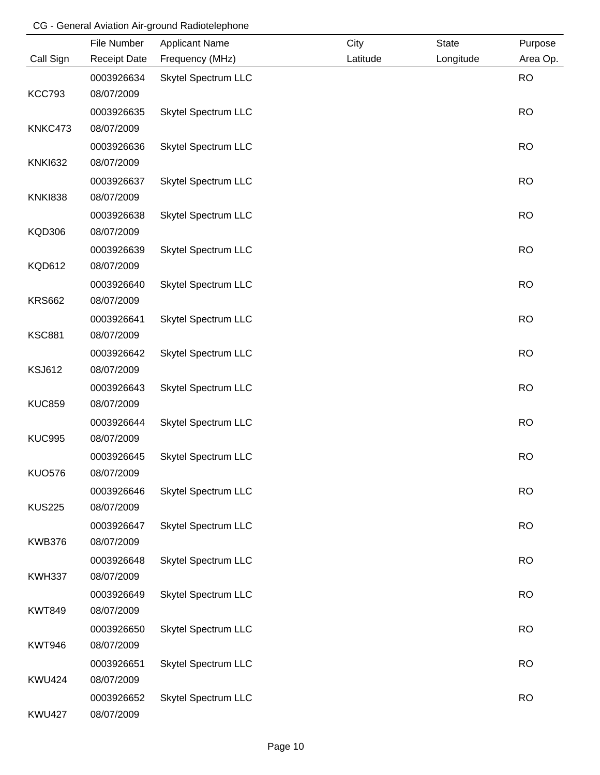### CG - General Aviation Air-ground Radiotelephone

|                | File Number         | <b>Applicant Name</b>      | City     | <b>State</b> | Purpose   |
|----------------|---------------------|----------------------------|----------|--------------|-----------|
| Call Sign      | <b>Receipt Date</b> | Frequency (MHz)            | Latitude | Longitude    | Area Op.  |
|                | 0003926634          | <b>Skytel Spectrum LLC</b> |          |              | <b>RO</b> |
| <b>KCC793</b>  | 08/07/2009          |                            |          |              |           |
|                | 0003926635          | <b>Skytel Spectrum LLC</b> |          |              | <b>RO</b> |
| KNKC473        | 08/07/2009          |                            |          |              |           |
|                | 0003926636          | <b>Skytel Spectrum LLC</b> |          |              | <b>RO</b> |
| <b>KNKI632</b> | 08/07/2009          |                            |          |              |           |
|                | 0003926637          | <b>Skytel Spectrum LLC</b> |          |              | <b>RO</b> |
| <b>KNKI838</b> | 08/07/2009          |                            |          |              |           |
|                | 0003926638          | <b>Skytel Spectrum LLC</b> |          |              | <b>RO</b> |
| <b>KQD306</b>  | 08/07/2009          |                            |          |              |           |
|                | 0003926639          | <b>Skytel Spectrum LLC</b> |          |              | <b>RO</b> |
| <b>KQD612</b>  | 08/07/2009          |                            |          |              |           |
|                | 0003926640          | <b>Skytel Spectrum LLC</b> |          |              | <b>RO</b> |
| <b>KRS662</b>  | 08/07/2009          |                            |          |              |           |
|                | 0003926641          | <b>Skytel Spectrum LLC</b> |          |              | <b>RO</b> |
| <b>KSC881</b>  | 08/07/2009          |                            |          |              |           |
|                | 0003926642          | <b>Skytel Spectrum LLC</b> |          |              | <b>RO</b> |
| <b>KSJ612</b>  | 08/07/2009          |                            |          |              |           |
|                | 0003926643          | <b>Skytel Spectrum LLC</b> |          |              | <b>RO</b> |
| <b>KUC859</b>  | 08/07/2009          |                            |          |              |           |
|                | 0003926644          | <b>Skytel Spectrum LLC</b> |          |              | <b>RO</b> |
| <b>KUC995</b>  | 08/07/2009          |                            |          |              |           |
|                | 0003926645          | <b>Skytel Spectrum LLC</b> |          |              | <b>RO</b> |
| <b>KUO576</b>  | 08/07/2009          |                            |          |              |           |
|                | 0003926646          | <b>Skytel Spectrum LLC</b> |          |              | <b>RO</b> |
| <b>KUS225</b>  | 08/07/2009          |                            |          |              |           |
|                | 0003926647          | <b>Skytel Spectrum LLC</b> |          |              | <b>RO</b> |
| <b>KWB376</b>  | 08/07/2009          |                            |          |              |           |
|                | 0003926648          | <b>Skytel Spectrum LLC</b> |          |              | <b>RO</b> |
| <b>KWH337</b>  | 08/07/2009          |                            |          |              |           |
|                | 0003926649          | <b>Skytel Spectrum LLC</b> |          |              | <b>RO</b> |
| <b>KWT849</b>  | 08/07/2009          |                            |          |              |           |
|                | 0003926650          | <b>Skytel Spectrum LLC</b> |          |              | <b>RO</b> |
| <b>KWT946</b>  | 08/07/2009          |                            |          |              |           |
|                | 0003926651          | <b>Skytel Spectrum LLC</b> |          |              | <b>RO</b> |
| <b>KWU424</b>  | 08/07/2009          |                            |          |              |           |
|                | 0003926652          | <b>Skytel Spectrum LLC</b> |          |              | <b>RO</b> |
| <b>KWU427</b>  | 08/07/2009          |                            |          |              |           |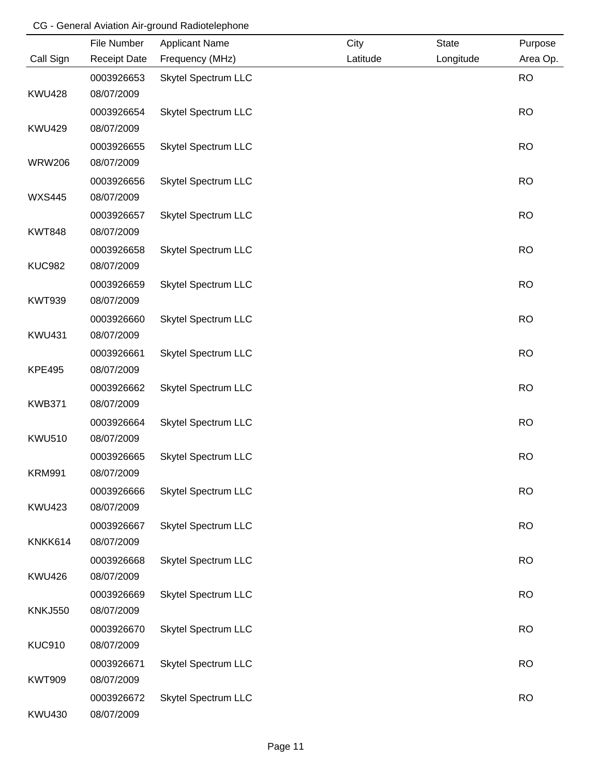## CG - General Aviation Air-ground Radiotelephone

|                | File Number         | <b>Applicant Name</b>      | City     | <b>State</b> | Purpose   |
|----------------|---------------------|----------------------------|----------|--------------|-----------|
| Call Sign      | <b>Receipt Date</b> | Frequency (MHz)            | Latitude | Longitude    | Area Op.  |
|                | 0003926653          | <b>Skytel Spectrum LLC</b> |          |              | <b>RO</b> |
| <b>KWU428</b>  | 08/07/2009          |                            |          |              |           |
|                | 0003926654          | <b>Skytel Spectrum LLC</b> |          |              | <b>RO</b> |
| <b>KWU429</b>  | 08/07/2009          |                            |          |              |           |
|                | 0003926655          | <b>Skytel Spectrum LLC</b> |          |              | <b>RO</b> |
| <b>WRW206</b>  | 08/07/2009          |                            |          |              |           |
|                | 0003926656          | <b>Skytel Spectrum LLC</b> |          |              | <b>RO</b> |
| <b>WXS445</b>  | 08/07/2009          |                            |          |              |           |
|                | 0003926657          | <b>Skytel Spectrum LLC</b> |          |              | <b>RO</b> |
| <b>KWT848</b>  | 08/07/2009          |                            |          |              |           |
|                | 0003926658          | <b>Skytel Spectrum LLC</b> |          |              | <b>RO</b> |
| <b>KUC982</b>  | 08/07/2009          |                            |          |              |           |
|                | 0003926659          | <b>Skytel Spectrum LLC</b> |          |              | <b>RO</b> |
| <b>KWT939</b>  | 08/07/2009          |                            |          |              |           |
|                | 0003926660          | <b>Skytel Spectrum LLC</b> |          |              | <b>RO</b> |
| <b>KWU431</b>  | 08/07/2009          |                            |          |              |           |
|                | 0003926661          | <b>Skytel Spectrum LLC</b> |          |              | <b>RO</b> |
| <b>KPE495</b>  | 08/07/2009          |                            |          |              |           |
|                | 0003926662          | <b>Skytel Spectrum LLC</b> |          |              | <b>RO</b> |
| <b>KWB371</b>  | 08/07/2009          |                            |          |              |           |
|                | 0003926664          | <b>Skytel Spectrum LLC</b> |          |              | <b>RO</b> |
| <b>KWU510</b>  | 08/07/2009          |                            |          |              |           |
|                | 0003926665          | <b>Skytel Spectrum LLC</b> |          |              | <b>RO</b> |
| <b>KRM991</b>  | 08/07/2009          |                            |          |              |           |
|                | 0003926666          | <b>Skytel Spectrum LLC</b> |          |              | <b>RO</b> |
| <b>KWU423</b>  | 08/07/2009          |                            |          |              |           |
|                | 0003926667          | <b>Skytel Spectrum LLC</b> |          |              | <b>RO</b> |
| KNKK614        | 08/07/2009          |                            |          |              |           |
|                | 0003926668          | <b>Skytel Spectrum LLC</b> |          |              | <b>RO</b> |
| <b>KWU426</b>  | 08/07/2009          |                            |          |              |           |
|                | 0003926669          | <b>Skytel Spectrum LLC</b> |          |              | <b>RO</b> |
| <b>KNKJ550</b> | 08/07/2009          |                            |          |              |           |
|                | 0003926670          | <b>Skytel Spectrum LLC</b> |          |              | <b>RO</b> |
| <b>KUC910</b>  | 08/07/2009          |                            |          |              |           |
|                | 0003926671          | <b>Skytel Spectrum LLC</b> |          |              | <b>RO</b> |
| <b>KWT909</b>  | 08/07/2009          |                            |          |              |           |
|                | 0003926672          | <b>Skytel Spectrum LLC</b> |          |              | <b>RO</b> |
| <b>KWU430</b>  | 08/07/2009          |                            |          |              |           |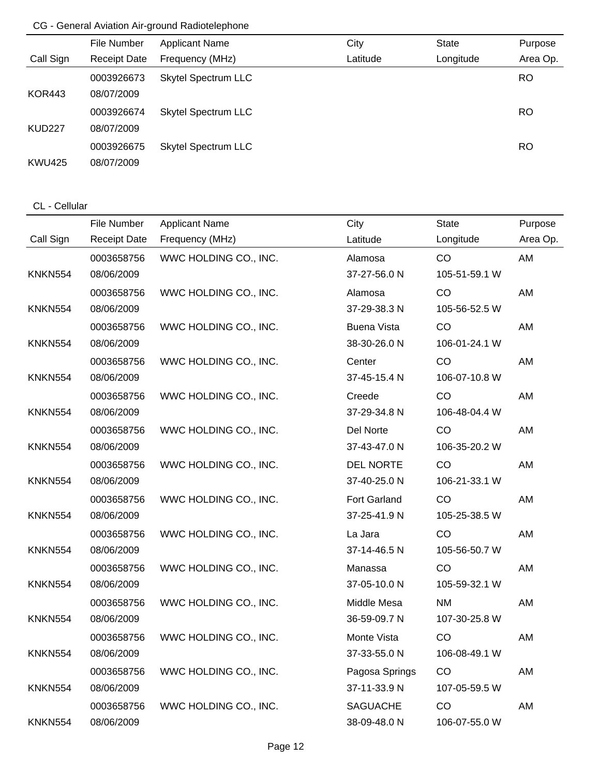## CG - General Aviation Air-ground Radiotelephone

|               | File Number         | <b>Applicant Name</b>      | City     | State     | Purpose   |
|---------------|---------------------|----------------------------|----------|-----------|-----------|
| Call Sign     | <b>Receipt Date</b> | Frequency (MHz)            | Latitude | Longitude | Area Op.  |
|               | 0003926673          | <b>Skytel Spectrum LLC</b> |          |           | <b>RO</b> |
| <b>KOR443</b> | 08/07/2009          |                            |          |           |           |
|               | 0003926674          | <b>Skytel Spectrum LLC</b> |          |           | <b>RO</b> |
| <b>KUD227</b> | 08/07/2009          |                            |          |           |           |
|               | 0003926675          | <b>Skytel Spectrum LLC</b> |          |           | <b>RO</b> |
| <b>KWU425</b> | 08/07/2009          |                            |          |           |           |

### CL - Cellular

|                | File Number         | <b>Applicant Name</b> | City               | <b>State</b>  | Purpose  |
|----------------|---------------------|-----------------------|--------------------|---------------|----------|
| Call Sign      | <b>Receipt Date</b> | Frequency (MHz)       | Latitude           | Longitude     | Area Op. |
|                | 0003658756          | WWC HOLDING CO., INC. | Alamosa            | CO            | AM       |
| <b>KNKN554</b> | 08/06/2009          |                       | 37-27-56.0 N       | 105-51-59.1 W |          |
|                | 0003658756          | WWC HOLDING CO., INC. | Alamosa            | CO            | AM       |
| <b>KNKN554</b> | 08/06/2009          |                       | 37-29-38.3 N       | 105-56-52.5 W |          |
|                | 0003658756          | WWC HOLDING CO., INC. | <b>Buena Vista</b> | CO            | AM       |
| <b>KNKN554</b> | 08/06/2009          |                       | 38-30-26.0 N       | 106-01-24.1 W |          |
|                | 0003658756          | WWC HOLDING CO., INC. | Center             | CO            | AM       |
| <b>KNKN554</b> | 08/06/2009          |                       | 37-45-15.4 N       | 106-07-10.8 W |          |
|                | 0003658756          | WWC HOLDING CO., INC. | Creede             | CO            | AM       |
| <b>KNKN554</b> | 08/06/2009          |                       | 37-29-34.8 N       | 106-48-04.4 W |          |
|                | 0003658756          | WWC HOLDING CO., INC. | Del Norte          | CO            | AM       |
| <b>KNKN554</b> | 08/06/2009          |                       | 37-43-47.0 N       | 106-35-20.2 W |          |
|                | 0003658756          | WWC HOLDING CO., INC. | <b>DEL NORTE</b>   | CO            | AM       |
| <b>KNKN554</b> | 08/06/2009          |                       | 37-40-25.0 N       | 106-21-33.1 W |          |
|                | 0003658756          | WWC HOLDING CO., INC. | Fort Garland       | CO            | AM       |
| <b>KNKN554</b> | 08/06/2009          |                       | 37-25-41.9 N       | 105-25-38.5 W |          |
|                | 0003658756          | WWC HOLDING CO., INC. | La Jara            | CO            | AM       |
| <b>KNKN554</b> | 08/06/2009          |                       | 37-14-46.5 N       | 105-56-50.7 W |          |
|                | 0003658756          | WWC HOLDING CO., INC. | Manassa            | CO            | AM       |
| <b>KNKN554</b> | 08/06/2009          |                       | 37-05-10.0 N       | 105-59-32.1 W |          |
|                | 0003658756          | WWC HOLDING CO., INC. | Middle Mesa        | <b>NM</b>     | AM       |
| <b>KNKN554</b> | 08/06/2009          |                       | 36-59-09.7 N       | 107-30-25.8 W |          |
|                | 0003658756          | WWC HOLDING CO., INC. | Monte Vista        | CO            | AM       |
| <b>KNKN554</b> | 08/06/2009          |                       | 37-33-55.0 N       | 106-08-49.1 W |          |
|                | 0003658756          | WWC HOLDING CO., INC. | Pagosa Springs     | CO            | AM       |
| <b>KNKN554</b> | 08/06/2009          |                       | 37-11-33.9 N       | 107-05-59.5 W |          |
|                | 0003658756          | WWC HOLDING CO., INC. | <b>SAGUACHE</b>    | CO            | AM       |
| <b>KNKN554</b> | 08/06/2009          |                       | 38-09-48.0 N       | 106-07-55.0 W |          |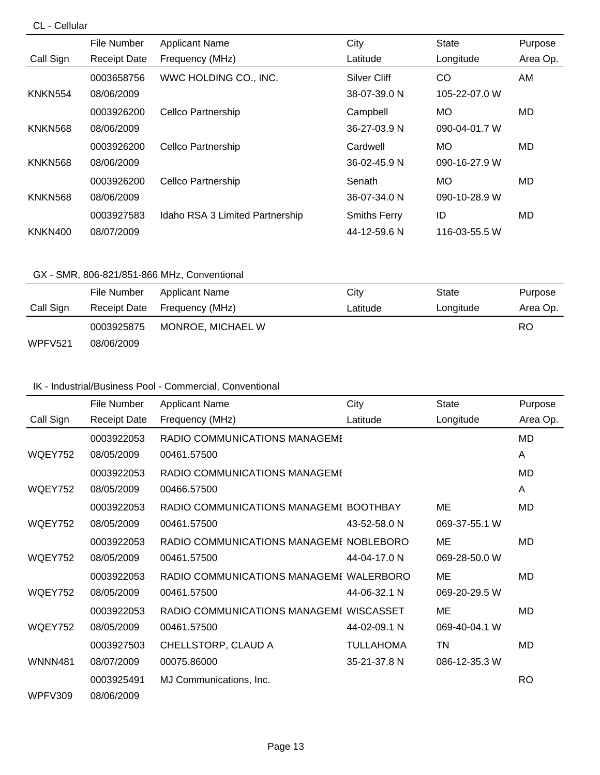### CL - Cellular

|                | File Number         | <b>Applicant Name</b>           | City                | <b>State</b>  | Purpose  |
|----------------|---------------------|---------------------------------|---------------------|---------------|----------|
| Call Sign      | <b>Receipt Date</b> | Frequency (MHz)                 | Latitude            | Longitude     | Area Op. |
|                | 0003658756          | WWC HOLDING CO., INC.           | Silver Cliff        | CO            | AM       |
| KNKN554        | 08/06/2009          |                                 | 38-07-39.0 N        | 105-22-07.0 W |          |
|                | 0003926200          | <b>Cellco Partnership</b>       | Campbell            | МO            | MD       |
| <b>KNKN568</b> | 08/06/2009          |                                 | 36-27-03.9 N        | 090-04-01.7 W |          |
|                | 0003926200          | <b>Cellco Partnership</b>       | Cardwell            | <b>MO</b>     | MD       |
| <b>KNKN568</b> | 08/06/2009          |                                 | 36-02-45.9 N        | 090-16-27.9 W |          |
|                | 0003926200          | <b>Cellco Partnership</b>       | Senath              | <b>MO</b>     | MD.      |
| <b>KNKN568</b> | 08/06/2009          |                                 | 36-07-34.0 N        | 090-10-28.9 W |          |
|                | 0003927583          | Idaho RSA 3 Limited Partnership | <b>Smiths Ferry</b> | ID            | MD       |
| <b>KNKN400</b> | 08/07/2009          |                                 | 44-12-59.6 N        | 116-03-55.5 W |          |

### GX - SMR, 806-821/851-866 MHz, Conventional

|           | File Number  | Applicant Name    | City     | State     | Purpose  |
|-----------|--------------|-------------------|----------|-----------|----------|
| Call Sign | Receipt Date | Frequency (MHz)   | Latitude | Longitude | Area Op. |
|           | 0003925875   | MONROE, MICHAEL W |          |           | RO       |
| WPFV521   | 08/06/2009   |                   |          |           |          |

### IK - Industrial/Business Pool - Commercial, Conventional

|                | File Number         | <b>Applicant Name</b>                   | City             | <b>State</b>  | Purpose   |
|----------------|---------------------|-----------------------------------------|------------------|---------------|-----------|
| Call Sign      | <b>Receipt Date</b> | Frequency (MHz)                         | Latitude         | Longitude     | Area Op.  |
|                | 0003922053          | RADIO COMMUNICATIONS MANAGEME           |                  |               | MD        |
| <b>WQEY752</b> | 08/05/2009          | 00461.57500                             |                  |               | A         |
|                | 0003922053          | RADIO COMMUNICATIONS MANAGEME           |                  |               | MD        |
| WQEY752        | 08/05/2009          | 00466.57500                             |                  |               | A         |
|                | 0003922053          | RADIO COMMUNICATIONS MANAGEME BOOTHBAY  |                  | ME            | MD        |
| WQEY752        | 08/05/2009          | 00461.57500                             | 43-52-58.0 N     | 069-37-55.1 W |           |
|                | 0003922053          | RADIO COMMUNICATIONS MANAGEMI NOBLEBORO |                  | ME            | MD        |
| WQEY752        | 08/05/2009          | 00461.57500                             | 44-04-17.0 N     | 069-28-50.0 W |           |
|                | 0003922053          | RADIO COMMUNICATIONS MANAGEME WALERBORO |                  | ME            | MD        |
| WQEY752        | 08/05/2009          | 00461.57500                             | 44-06-32.1 N     | 069-20-29.5 W |           |
|                | 0003922053          | RADIO COMMUNICATIONS MANAGEMI WISCASSET |                  | ME            | MD        |
| WQEY752        | 08/05/2009          | 00461.57500                             | 44-02-09.1 N     | 069-40-04.1 W |           |
|                | 0003927503          | CHELLSTORP, CLAUD A                     | <b>TULLAHOMA</b> | ΤN            | MD        |
| <b>WNNN481</b> | 08/07/2009          | 00075.86000                             | 35-21-37.8 N     | 086-12-35.3 W |           |
|                | 0003925491          | MJ Communications, Inc.                 |                  |               | <b>RO</b> |
| WPFV309        | 08/06/2009          |                                         |                  |               |           |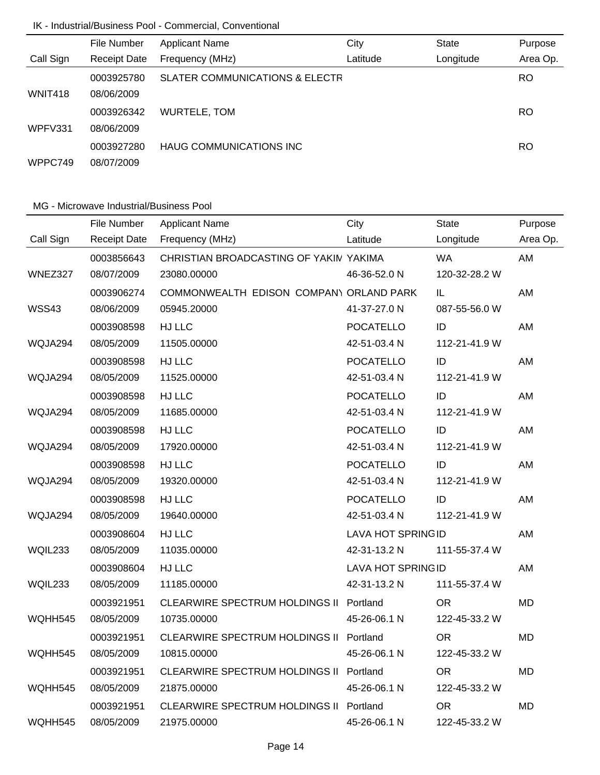## IK - Industrial/Business Pool - Commercial, Conventional

|                | File Number         | <b>Applicant Name</b>                     | City     | <b>State</b> | Purpose   |
|----------------|---------------------|-------------------------------------------|----------|--------------|-----------|
| Call Sign      | <b>Receipt Date</b> | Frequency (MHz)                           | Latitude | Longitude    | Area Op.  |
|                | 0003925780          | <b>SLATER COMMUNICATIONS &amp; ELECTR</b> |          |              | <b>RO</b> |
| <b>WNIT418</b> | 08/06/2009          |                                           |          |              |           |
|                | 0003926342          | WURTELE, TOM                              |          |              | <b>RO</b> |
| WPFV331        | 08/06/2009          |                                           |          |              |           |
|                | 0003927280          | <b>HAUG COMMUNICATIONS INC.</b>           |          |              | RO        |
| WPPC749        | 08/07/2009          |                                           |          |              |           |

|           | File Number         | <b>Applicant Name</b>                   | City                     | <b>State</b>    | Purpose   |
|-----------|---------------------|-----------------------------------------|--------------------------|-----------------|-----------|
| Call Sign | <b>Receipt Date</b> | Frequency (MHz)                         | Latitude                 | Longitude       | Area Op.  |
|           | 0003856643          | CHRISTIAN BROADCASTING OF YAKIN YAKIMA  |                          | <b>WA</b>       | AM        |
| WNEZ327   | 08/07/2009          | 23080.00000                             | 46-36-52.0 N             | 120-32-28.2 W   |           |
|           | 0003906274          | COMMONWEALTH EDISON COMPANY ORLAND PARK |                          | IL.             | AM        |
| WSS43     | 08/06/2009          | 05945.20000                             | 41-37-27.0 N             | 087-55-56.0 W   |           |
|           | 0003908598          | HJ LLC                                  | <b>POCATELLO</b>         | ID              | AM        |
| WQJA294   | 08/05/2009          | 11505.00000                             | 42-51-03.4 N             | 112-21-41.9 W   |           |
|           | 0003908598          | HJ LLC                                  | <b>POCATELLO</b>         | ID              | AM        |
| WQJA294   | 08/05/2009          | 11525.00000                             | 42-51-03.4 N             | 112-21-41.9 W   |           |
|           | 0003908598          | HJ LLC                                  | <b>POCATELLO</b>         | ID              | AM        |
| WQJA294   | 08/05/2009          | 11685.00000                             | 42-51-03.4 N             | 112-21-41.9 W   |           |
|           | 0003908598          | HJ LLC                                  | <b>POCATELLO</b>         | ID              | AM        |
| WQJA294   | 08/05/2009          | 17920.00000                             | 42-51-03.4 N             | 112-21-41.9 W   |           |
|           | 0003908598          | HJ LLC                                  | <b>POCATELLO</b>         | ID              | AM        |
| WQJA294   | 08/05/2009          | 19320.00000                             | 42-51-03.4 N             | 112-21-41.9 W   |           |
|           | 0003908598          | HJ LLC                                  | <b>POCATELLO</b>         | ID              | AM        |
| WQJA294   | 08/05/2009          | 19640.00000                             | 42-51-03.4 N             | 112-21-41.9 W   |           |
|           | 0003908604          | HJ LLC                                  | <b>LAVA HOT SPRINGID</b> |                 | AM        |
| WQIL233   | 08/05/2009          | 11035.00000                             | 42-31-13.2 N             | 111-55-37.4 W   |           |
|           | 0003908604          | HJ LLC                                  | <b>LAVA HOT SPRINGID</b> |                 | AM        |
| WQIL233   | 08/05/2009          | 11185.00000                             | 42-31-13.2 N             | 111-55-37.4 W   |           |
|           | 0003921951          | CLEARWIRE SPECTRUM HOLDINGS II Portland |                          | <b>OR</b>       | <b>MD</b> |
| WQHH545   | 08/05/2009          | 10735.00000                             | 45-26-06.1 N             | 122-45-33.2 W   |           |
|           | 0003921951          | CLEARWIRE SPECTRUM HOLDINGS II Portland |                          | <b>OR</b>       | <b>MD</b> |
| WQHH545   | 08/05/2009          | 10815.00000                             | 45-26-06.1 N             | 122-45-33.2 W   |           |
|           | 0003921951          | CLEARWIRE SPECTRUM HOLDINGS II Portland |                          | <b>OR</b>       | <b>MD</b> |
| WQHH545   | 08/05/2009          | 21875.00000                             | 45-26-06.1 N             | 122-45-33.2 W   |           |
|           | 0003921951          | CLEARWIRE SPECTRUM HOLDINGS II Portland |                          | OR <sub>1</sub> | <b>MD</b> |
| WQHH545   | 08/05/2009          | 21975.00000                             | 45-26-06.1 N             | 122-45-33.2 W   |           |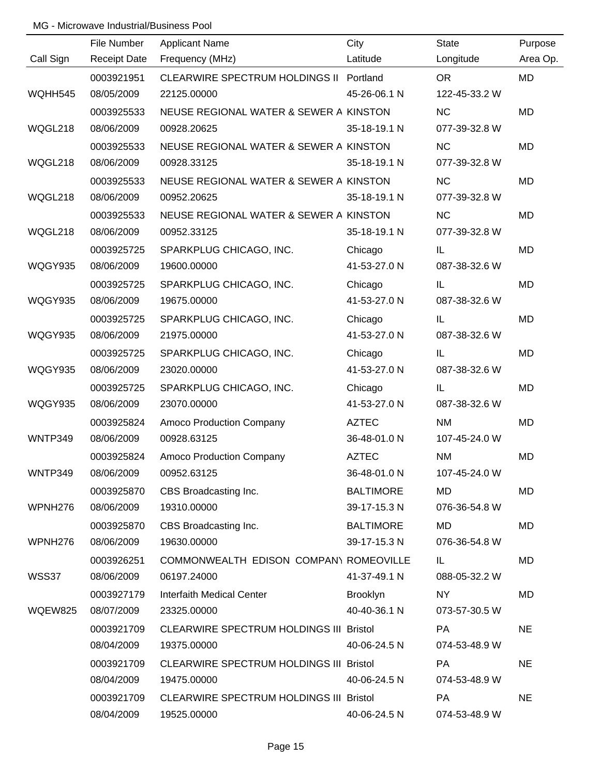|           | File Number         | <b>Applicant Name</b>                          | City             | <b>State</b>  | Purpose   |
|-----------|---------------------|------------------------------------------------|------------------|---------------|-----------|
| Call Sign | <b>Receipt Date</b> | Frequency (MHz)                                | Latitude         | Longitude     | Area Op.  |
|           | 0003921951          | CLEARWIRE SPECTRUM HOLDINGS II Portland        |                  | OR            | MD        |
| WQHH545   | 08/05/2009          | 22125.00000                                    | 45-26-06.1 N     | 122-45-33.2 W |           |
|           | 0003925533          | NEUSE REGIONAL WATER & SEWER A KINSTON         |                  | <b>NC</b>     | <b>MD</b> |
| WQGL218   | 08/06/2009          | 00928.20625                                    | 35-18-19.1 N     | 077-39-32.8 W |           |
|           | 0003925533          | NEUSE REGIONAL WATER & SEWER A KINSTON         |                  | <b>NC</b>     | <b>MD</b> |
| WQGL218   | 08/06/2009          | 00928.33125                                    | 35-18-19.1 N     | 077-39-32.8 W |           |
|           | 0003925533          | NEUSE REGIONAL WATER & SEWER A KINSTON         |                  | <b>NC</b>     | <b>MD</b> |
| WQGL218   | 08/06/2009          | 00952.20625                                    | 35-18-19.1 N     | 077-39-32.8 W |           |
|           | 0003925533          | NEUSE REGIONAL WATER & SEWER A KINSTON         |                  | <b>NC</b>     | <b>MD</b> |
| WQGL218   | 08/06/2009          | 00952.33125                                    | 35-18-19.1 N     | 077-39-32.8 W |           |
|           | 0003925725          | SPARKPLUG CHICAGO, INC.                        | Chicago          | IL            | MD        |
| WQGY935   | 08/06/2009          | 19600.00000                                    | 41-53-27.0 N     | 087-38-32.6 W |           |
|           | 0003925725          | SPARKPLUG CHICAGO, INC.                        | Chicago          | IL            | <b>MD</b> |
| WQGY935   | 08/06/2009          | 19675.00000                                    | 41-53-27.0 N     | 087-38-32.6 W |           |
|           | 0003925725          | SPARKPLUG CHICAGO, INC.                        | Chicago          | IL            | MD        |
| WQGY935   | 08/06/2009          | 21975.00000                                    | 41-53-27.0 N     | 087-38-32.6 W |           |
|           | 0003925725          | SPARKPLUG CHICAGO, INC.                        | Chicago          | IL            | <b>MD</b> |
| WQGY935   | 08/06/2009          | 23020.00000                                    | 41-53-27.0 N     | 087-38-32.6 W |           |
|           | 0003925725          | SPARKPLUG CHICAGO, INC.                        | Chicago          | IL            | <b>MD</b> |
| WQGY935   | 08/06/2009          | 23070.00000                                    | 41-53-27.0 N     | 087-38-32.6 W |           |
|           | 0003925824          | Amoco Production Company                       | <b>AZTEC</b>     | <b>NM</b>     | MD        |
| WNTP349   | 08/06/2009          | 00928.63125                                    | 36-48-01.0 N     | 107-45-24.0 W |           |
|           | 0003925824          | Amoco Production Company                       | <b>AZTEC</b>     | <b>NM</b>     | <b>MD</b> |
| WNTP349   | 08/06/2009          | 00952.63125                                    | 36-48-01.0 N     | 107-45-24.0 W |           |
|           | 0003925870          | CBS Broadcasting Inc.                          | <b>BALTIMORE</b> | MD            | MD        |
| WPNH276   | 08/06/2009          | 19310.00000                                    | 39-17-15.3 N     | 076-36-54.8 W |           |
|           | 0003925870          | CBS Broadcasting Inc.                          | <b>BALTIMORE</b> | MD            | MD        |
| WPNH276   | 08/06/2009          | 19630.00000                                    | 39-17-15.3 N     | 076-36-54.8 W |           |
|           | 0003926251          | COMMONWEALTH EDISON COMPANY ROMEOVILLE         |                  | IL.           | MD        |
| WSS37     | 08/06/2009          | 06197.24000                                    | 41-37-49.1 N     | 088-05-32.2 W |           |
|           | 0003927179          | <b>Interfaith Medical Center</b>               | Brooklyn         | NY.           | MD        |
| WQEW825   | 08/07/2009          | 23325.00000                                    | 40-40-36.1 N     | 073-57-30.5 W |           |
|           | 0003921709          | <b>CLEARWIRE SPECTRUM HOLDINGS III Bristol</b> |                  | <b>PA</b>     | <b>NE</b> |
|           | 08/04/2009          | 19375.00000                                    | 40-06-24.5 N     | 074-53-48.9 W |           |
|           | 0003921709          | CLEARWIRE SPECTRUM HOLDINGS III Bristol        |                  | PA            | <b>NE</b> |
|           | 08/04/2009          | 19475.00000                                    | 40-06-24.5 N     | 074-53-48.9 W |           |
|           | 0003921709          | CLEARWIRE SPECTRUM HOLDINGS III Bristol        |                  | PA            | <b>NE</b> |
|           | 08/04/2009          | 19525.00000                                    | 40-06-24.5 N     | 074-53-48.9 W |           |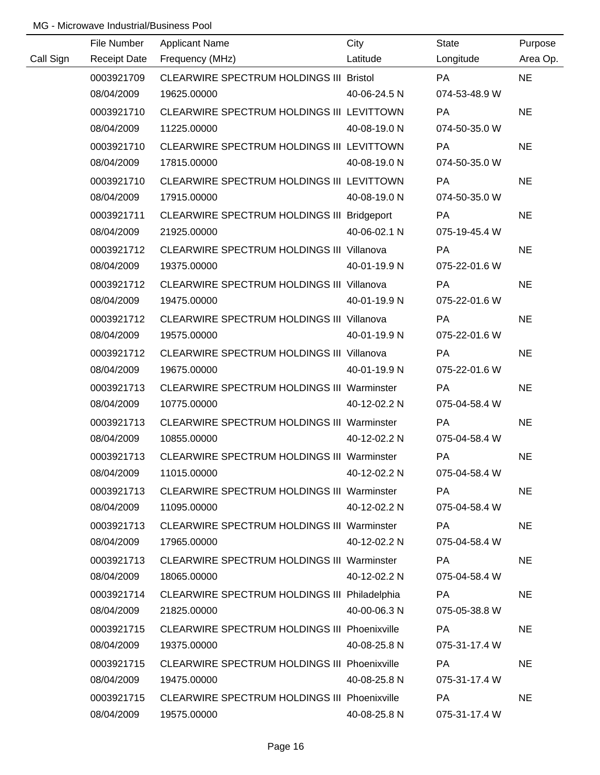|           | File Number         | <b>Applicant Name</b>                             | City         | <b>State</b>  | Purpose   |
|-----------|---------------------|---------------------------------------------------|--------------|---------------|-----------|
| Call Sign | <b>Receipt Date</b> | Frequency (MHz)                                   | Latitude     | Longitude     | Area Op.  |
|           | 0003921709          | CLEARWIRE SPECTRUM HOLDINGS III Bristol           |              | <b>PA</b>     | <b>NE</b> |
|           | 08/04/2009          | 19625.00000                                       | 40-06-24.5 N | 074-53-48.9 W |           |
|           | 0003921710          | CLEARWIRE SPECTRUM HOLDINGS III LEVITTOWN         |              | PA            | <b>NE</b> |
|           | 08/04/2009          | 11225.00000                                       | 40-08-19.0 N | 074-50-35.0 W |           |
|           | 0003921710          | CLEARWIRE SPECTRUM HOLDINGS III LEVITTOWN         |              | <b>PA</b>     | <b>NE</b> |
|           | 08/04/2009          | 17815.00000                                       | 40-08-19.0 N | 074-50-35.0 W |           |
|           | 0003921710          | CLEARWIRE SPECTRUM HOLDINGS III LEVITTOWN         |              | <b>PA</b>     | <b>NE</b> |
|           | 08/04/2009          | 17915.00000                                       | 40-08-19.0 N | 074-50-35.0 W |           |
|           | 0003921711          | CLEARWIRE SPECTRUM HOLDINGS III Bridgeport        |              | PA            | <b>NE</b> |
|           | 08/04/2009          | 21925.00000                                       | 40-06-02.1 N | 075-19-45.4 W |           |
|           | 0003921712          | CLEARWIRE SPECTRUM HOLDINGS III Villanova         |              | PA            | <b>NE</b> |
|           | 08/04/2009          | 19375.00000                                       | 40-01-19.9 N | 075-22-01.6 W |           |
|           | 0003921712          | CLEARWIRE SPECTRUM HOLDINGS III Villanova         |              | PA            | <b>NE</b> |
|           | 08/04/2009          | 19475.00000                                       | 40-01-19.9 N | 075-22-01.6 W |           |
|           | 0003921712          | <b>CLEARWIRE SPECTRUM HOLDINGS III Villanova</b>  |              | PA            | <b>NE</b> |
|           | 08/04/2009          | 19575.00000                                       | 40-01-19.9 N | 075-22-01.6 W |           |
|           | 0003921712          | <b>CLEARWIRE SPECTRUM HOLDINGS III Villanova</b>  |              | PA            | <b>NE</b> |
|           | 08/04/2009          | 19675.00000                                       | 40-01-19.9 N | 075-22-01.6 W |           |
|           | 0003921713          | CLEARWIRE SPECTRUM HOLDINGS III Warminster        |              | PA            | <b>NE</b> |
|           | 08/04/2009          | 10775.00000                                       | 40-12-02.2 N | 075-04-58.4 W |           |
|           | 0003921713          | CLEARWIRE SPECTRUM HOLDINGS III Warminster        |              | PA            | <b>NE</b> |
|           | 08/04/2009          | 10855.00000                                       | 40-12-02.2 N | 075-04-58.4 W |           |
|           | 0003921713          | <b>CLEARWIRE SPECTRUM HOLDINGS III Warminster</b> |              | PA            | <b>NE</b> |
|           | 08/04/2009          | 11015.00000                                       | 40-12-02.2 N | 075-04-58.4 W |           |
|           | 0003921713          | CLEARWIRE SPECTRUM HOLDINGS III Warminster        |              | <b>PA</b>     | <b>NE</b> |
|           | 08/04/2009          | 11095.00000                                       | 40-12-02.2 N | 075-04-58.4 W |           |
|           | 0003921713          | <b>CLEARWIRE SPECTRUM HOLDINGS III Warminster</b> |              | PA            | <b>NE</b> |
|           | 08/04/2009          | 17965.00000                                       | 40-12-02.2 N | 075-04-58.4 W |           |
|           | 0003921713          | <b>CLEARWIRE SPECTRUM HOLDINGS III Warminster</b> |              | PA            | <b>NE</b> |
|           | 08/04/2009          | 18065.00000                                       | 40-12-02.2 N | 075-04-58.4 W |           |
|           | 0003921714          | CLEARWIRE SPECTRUM HOLDINGS III Philadelphia      |              | PA            | <b>NE</b> |
|           | 08/04/2009          | 21825.00000                                       | 40-00-06.3 N | 075-05-38.8 W |           |
|           | 0003921715          | CLEARWIRE SPECTRUM HOLDINGS III Phoenixville      |              | <b>PA</b>     | <b>NE</b> |
|           | 08/04/2009          | 19375.00000                                       | 40-08-25.8 N | 075-31-17.4 W |           |
|           | 0003921715          | CLEARWIRE SPECTRUM HOLDINGS III Phoenixville      |              | <b>PA</b>     | <b>NE</b> |
|           | 08/04/2009          | 19475.00000                                       | 40-08-25.8 N | 075-31-17.4 W |           |
|           | 0003921715          | CLEARWIRE SPECTRUM HOLDINGS III Phoenixville      |              | PA            | <b>NE</b> |
|           | 08/04/2009          | 19575.00000                                       | 40-08-25.8 N | 075-31-17.4 W |           |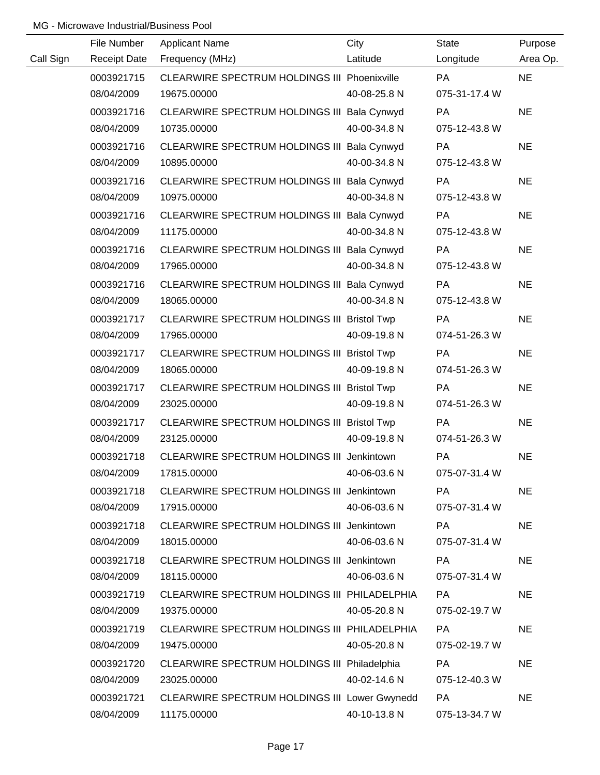|           | File Number         | <b>Applicant Name</b>                         | City         | <b>State</b>  | Purpose   |
|-----------|---------------------|-----------------------------------------------|--------------|---------------|-----------|
| Call Sign | <b>Receipt Date</b> | Frequency (MHz)                               | Latitude     | Longitude     | Area Op.  |
|           | 0003921715          | CLEARWIRE SPECTRUM HOLDINGS III Phoenixville  |              | PA            | <b>NE</b> |
|           | 08/04/2009          | 19675.00000                                   | 40-08-25.8 N | 075-31-17.4 W |           |
|           | 0003921716          | CLEARWIRE SPECTRUM HOLDINGS III Bala Cynwyd   |              | PA            | <b>NE</b> |
|           | 08/04/2009          | 10735.00000                                   | 40-00-34.8 N | 075-12-43.8 W |           |
|           | 0003921716          | CLEARWIRE SPECTRUM HOLDINGS III Bala Cynwyd   |              | PA            | <b>NE</b> |
|           | 08/04/2009          | 10895.00000                                   | 40-00-34.8 N | 075-12-43.8 W |           |
|           | 0003921716          | CLEARWIRE SPECTRUM HOLDINGS III Bala Cynwyd   |              | PA            | <b>NE</b> |
|           | 08/04/2009          | 10975.00000                                   | 40-00-34.8 N | 075-12-43.8 W |           |
|           | 0003921716          | CLEARWIRE SPECTRUM HOLDINGS III Bala Cynwyd   |              | PA            | <b>NE</b> |
|           | 08/04/2009          | 11175.00000                                   | 40-00-34.8 N | 075-12-43.8 W |           |
|           | 0003921716          | CLEARWIRE SPECTRUM HOLDINGS III Bala Cynwyd   |              | PA            | <b>NE</b> |
|           | 08/04/2009          | 17965.00000                                   | 40-00-34.8 N | 075-12-43.8 W |           |
|           | 0003921716          | CLEARWIRE SPECTRUM HOLDINGS III Bala Cynwyd   |              | PA            | <b>NE</b> |
|           | 08/04/2009          | 18065.00000                                   | 40-00-34.8 N | 075-12-43.8 W |           |
|           | 0003921717          | CLEARWIRE SPECTRUM HOLDINGS III Bristol Twp   |              | PA            | <b>NE</b> |
|           | 08/04/2009          | 17965.00000                                   | 40-09-19.8 N | 074-51-26.3 W |           |
|           | 0003921717          | CLEARWIRE SPECTRUM HOLDINGS III Bristol Twp   |              | PA            | <b>NE</b> |
|           | 08/04/2009          | 18065.00000                                   | 40-09-19.8 N | 074-51-26.3 W |           |
|           | 0003921717          | CLEARWIRE SPECTRUM HOLDINGS III Bristol Twp   |              | PA            | <b>NE</b> |
|           | 08/04/2009          | 23025.00000                                   | 40-09-19.8 N | 074-51-26.3 W |           |
|           | 0003921717          | CLEARWIRE SPECTRUM HOLDINGS III Bristol Twp   |              | PA            | <b>NE</b> |
|           | 08/04/2009          | 23125.00000                                   | 40-09-19.8 N | 074-51-26.3 W |           |
|           | 0003921718          | CLEARWIRE SPECTRUM HOLDINGS III Jenkintown    |              | PA            | <b>NE</b> |
|           | 08/04/2009          | 17815.00000                                   | 40-06-03.6 N | 075-07-31.4 W |           |
|           | 0003921718          | CLEARWIRE SPECTRUM HOLDINGS III Jenkintown    |              | <b>PA</b>     | <b>NE</b> |
|           | 08/04/2009          | 17915.00000                                   | 40-06-03.6 N | 075-07-31.4 W |           |
|           | 0003921718          | CLEARWIRE SPECTRUM HOLDINGS III Jenkintown    |              | PA            | <b>NE</b> |
|           | 08/04/2009          | 18015.00000                                   | 40-06-03.6 N | 075-07-31.4 W |           |
|           | 0003921718          | CLEARWIRE SPECTRUM HOLDINGS III Jenkintown    |              | PA            | <b>NE</b> |
|           | 08/04/2009          | 18115.00000                                   | 40-06-03.6 N | 075-07-31.4 W |           |
|           | 0003921719          | CLEARWIRE SPECTRUM HOLDINGS III PHILADELPHIA  |              | PA            | <b>NE</b> |
|           | 08/04/2009          | 19375.00000                                   | 40-05-20.8 N | 075-02-19.7 W |           |
|           | 0003921719          | CLEARWIRE SPECTRUM HOLDINGS III PHILADELPHIA  |              | PA            | <b>NE</b> |
|           | 08/04/2009          | 19475.00000                                   | 40-05-20.8 N | 075-02-19.7 W |           |
|           | 0003921720          | CLEARWIRE SPECTRUM HOLDINGS III Philadelphia  |              | PA            | <b>NE</b> |
|           | 08/04/2009          | 23025.00000                                   | 40-02-14.6 N | 075-12-40.3 W |           |
|           | 0003921721          | CLEARWIRE SPECTRUM HOLDINGS III Lower Gwynedd |              | <b>PA</b>     | <b>NE</b> |
|           | 08/04/2009          | 11175.00000                                   | 40-10-13.8 N | 075-13-34.7 W |           |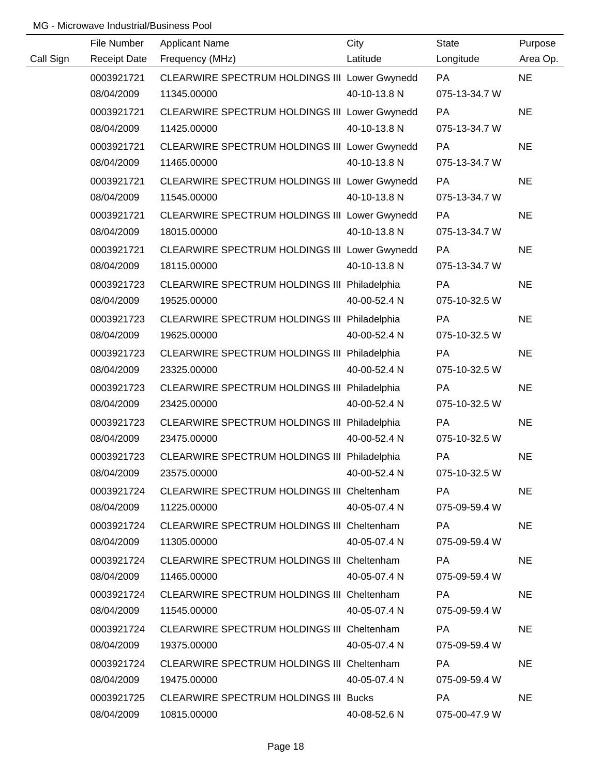|           | File Number         | <b>Applicant Name</b>                         | City         | <b>State</b>  | Purpose   |
|-----------|---------------------|-----------------------------------------------|--------------|---------------|-----------|
| Call Sign | <b>Receipt Date</b> | Frequency (MHz)                               | Latitude     | Longitude     | Area Op.  |
|           | 0003921721          | CLEARWIRE SPECTRUM HOLDINGS III Lower Gwynedd |              | <b>PA</b>     | <b>NE</b> |
|           | 08/04/2009          | 11345.00000                                   | 40-10-13.8 N | 075-13-34.7 W |           |
|           | 0003921721          | CLEARWIRE SPECTRUM HOLDINGS III Lower Gwynedd |              | PA            | <b>NE</b> |
|           | 08/04/2009          | 11425.00000                                   | 40-10-13.8 N | 075-13-34.7 W |           |
|           | 0003921721          | CLEARWIRE SPECTRUM HOLDINGS III Lower Gwynedd |              | PA            | <b>NE</b> |
|           | 08/04/2009          | 11465.00000                                   | 40-10-13.8 N | 075-13-34.7 W |           |
|           | 0003921721          | CLEARWIRE SPECTRUM HOLDINGS III Lower Gwynedd |              | PA            | <b>NE</b> |
|           | 08/04/2009          | 11545.00000                                   | 40-10-13.8 N | 075-13-34.7 W |           |
|           | 0003921721          | CLEARWIRE SPECTRUM HOLDINGS III Lower Gwynedd |              | PA            | <b>NE</b> |
|           | 08/04/2009          | 18015.00000                                   | 40-10-13.8 N | 075-13-34.7 W |           |
|           | 0003921721          | CLEARWIRE SPECTRUM HOLDINGS III Lower Gwynedd |              | PA            | <b>NE</b> |
|           | 08/04/2009          | 18115.00000                                   | 40-10-13.8 N | 075-13-34.7 W |           |
|           | 0003921723          | CLEARWIRE SPECTRUM HOLDINGS III Philadelphia  |              | PA            | <b>NE</b> |
|           | 08/04/2009          | 19525.00000                                   | 40-00-52.4 N | 075-10-32.5 W |           |
|           | 0003921723          | CLEARWIRE SPECTRUM HOLDINGS III Philadelphia  |              | <b>PA</b>     | <b>NE</b> |
|           | 08/04/2009          | 19625.00000                                   | 40-00-52.4 N | 075-10-32.5 W |           |
|           | 0003921723          | CLEARWIRE SPECTRUM HOLDINGS III Philadelphia  |              | PA            | <b>NE</b> |
|           | 08/04/2009          | 23325.00000                                   | 40-00-52.4 N | 075-10-32.5 W |           |
|           | 0003921723          | CLEARWIRE SPECTRUM HOLDINGS III Philadelphia  |              | PA            | <b>NE</b> |
|           | 08/04/2009          | 23425.00000                                   | 40-00-52.4 N | 075-10-32.5 W |           |
|           | 0003921723          | CLEARWIRE SPECTRUM HOLDINGS III Philadelphia  |              | PA            | <b>NE</b> |
|           | 08/04/2009          | 23475.00000                                   | 40-00-52.4 N | 075-10-32.5 W |           |
|           | 0003921723          | CLEARWIRE SPECTRUM HOLDINGS III Philadelphia  |              | PA            | <b>NE</b> |
|           | 08/04/2009          | 23575.00000                                   | 40-00-52.4 N | 075-10-32.5 W |           |
|           | 0003921724          | CLEARWIRE SPECTRUM HOLDINGS III Cheltenham    |              | PA            | <b>NE</b> |
|           | 08/04/2009          | 11225.00000                                   | 40-05-07.4 N | 075-09-59.4 W |           |
|           | 0003921724          | CLEARWIRE SPECTRUM HOLDINGS III Cheltenham    |              | PA            | <b>NE</b> |
|           | 08/04/2009          | 11305.00000                                   | 40-05-07.4 N | 075-09-59.4 W |           |
|           | 0003921724          | CLEARWIRE SPECTRUM HOLDINGS III Cheltenham    |              | PA            | <b>NE</b> |
|           | 08/04/2009          | 11465.00000                                   | 40-05-07.4 N | 075-09-59.4 W |           |
|           | 0003921724          | CLEARWIRE SPECTRUM HOLDINGS III Cheltenham    |              | PA            | <b>NE</b> |
|           | 08/04/2009          | 11545.00000                                   | 40-05-07.4 N | 075-09-59.4 W |           |
|           | 0003921724          | CLEARWIRE SPECTRUM HOLDINGS III Cheltenham    |              | <b>PA</b>     | <b>NE</b> |
|           | 08/04/2009          | 19375.00000                                   | 40-05-07.4 N | 075-09-59.4 W |           |
|           | 0003921724          | CLEARWIRE SPECTRUM HOLDINGS III Cheltenham    |              | <b>PA</b>     | <b>NE</b> |
|           | 08/04/2009          | 19475.00000                                   | 40-05-07.4 N | 075-09-59.4 W |           |
|           | 0003921725          | <b>CLEARWIRE SPECTRUM HOLDINGS III Bucks</b>  |              | <b>PA</b>     | <b>NE</b> |
|           | 08/04/2009          | 10815.00000                                   | 40-08-52.6 N | 075-00-47.9 W |           |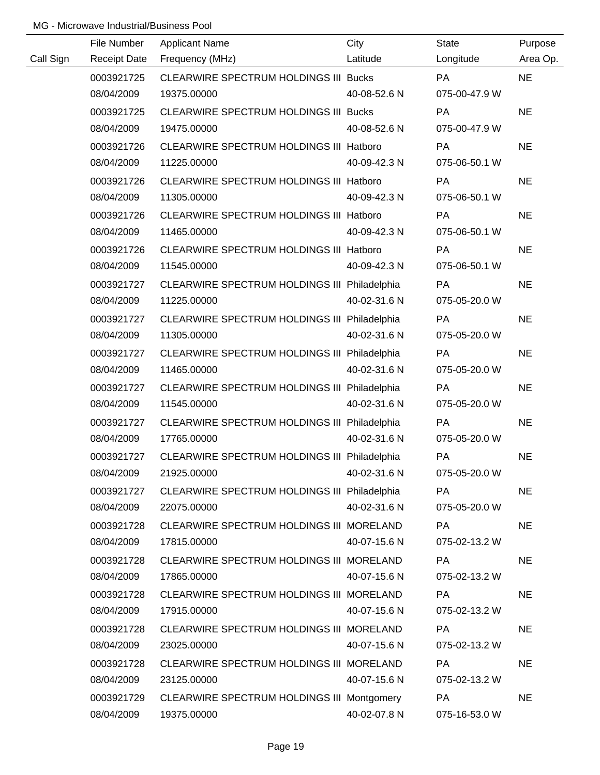|           | File Number         | <b>Applicant Name</b>                        | City         | <b>State</b>  | Purpose   |
|-----------|---------------------|----------------------------------------------|--------------|---------------|-----------|
| Call Sign | <b>Receipt Date</b> | Frequency (MHz)                              | Latitude     | Longitude     | Area Op.  |
|           | 0003921725          | CLEARWIRE SPECTRUM HOLDINGS III Bucks        |              | <b>PA</b>     | <b>NE</b> |
|           | 08/04/2009          | 19375.00000                                  | 40-08-52.6 N | 075-00-47.9 W |           |
|           | 0003921725          | <b>CLEARWIRE SPECTRUM HOLDINGS III Bucks</b> |              | PA            | <b>NE</b> |
|           | 08/04/2009          | 19475.00000                                  | 40-08-52.6 N | 075-00-47.9 W |           |
|           | 0003921726          | CLEARWIRE SPECTRUM HOLDINGS III Hatboro      |              | PA            | <b>NE</b> |
|           | 08/04/2009          | 11225.00000                                  | 40-09-42.3 N | 075-06-50.1 W |           |
|           | 0003921726          | CLEARWIRE SPECTRUM HOLDINGS III Hatboro      |              | PA            | <b>NE</b> |
|           | 08/04/2009          | 11305.00000                                  | 40-09-42.3 N | 075-06-50.1 W |           |
|           | 0003921726          | CLEARWIRE SPECTRUM HOLDINGS III Hatboro      |              | PA            | <b>NE</b> |
|           | 08/04/2009          | 11465.00000                                  | 40-09-42.3 N | 075-06-50.1 W |           |
|           | 0003921726          | CLEARWIRE SPECTRUM HOLDINGS III Hatboro      |              | PA            | <b>NE</b> |
|           | 08/04/2009          | 11545.00000                                  | 40-09-42.3 N | 075-06-50.1 W |           |
|           | 0003921727          | CLEARWIRE SPECTRUM HOLDINGS III Philadelphia |              | PA            | <b>NE</b> |
|           | 08/04/2009          | 11225.00000                                  | 40-02-31.6 N | 075-05-20.0 W |           |
|           | 0003921727          | CLEARWIRE SPECTRUM HOLDINGS III Philadelphia |              | PA            | <b>NE</b> |
|           | 08/04/2009          | 11305.00000                                  | 40-02-31.6 N | 075-05-20.0 W |           |
|           | 0003921727          | CLEARWIRE SPECTRUM HOLDINGS III Philadelphia |              | PA            | <b>NE</b> |
|           | 08/04/2009          | 11465.00000                                  | 40-02-31.6 N | 075-05-20.0 W |           |
|           | 0003921727          | CLEARWIRE SPECTRUM HOLDINGS III Philadelphia |              | PA            | <b>NE</b> |
|           | 08/04/2009          | 11545.00000                                  | 40-02-31.6 N | 075-05-20.0 W |           |
|           | 0003921727          | CLEARWIRE SPECTRUM HOLDINGS III Philadelphia |              | PA            | <b>NE</b> |
|           | 08/04/2009          | 17765.00000                                  | 40-02-31.6 N | 075-05-20.0 W |           |
|           | 0003921727          | CLEARWIRE SPECTRUM HOLDINGS III Philadelphia |              | PA            | <b>NE</b> |
|           | 08/04/2009          | 21925.00000                                  | 40-02-31.6 N | 075-05-20.0 W |           |
|           | 0003921727          | CLEARWIRE SPECTRUM HOLDINGS III Philadelphia |              | <b>PA</b>     | <b>NE</b> |
|           | 08/04/2009          | 22075.00000                                  | 40-02-31.6 N | 075-05-20.0 W |           |
|           | 0003921728          | CLEARWIRE SPECTRUM HOLDINGS III MORELAND     |              | PA            | <b>NE</b> |
|           | 08/04/2009          | 17815.00000                                  | 40-07-15.6 N | 075-02-13.2 W |           |
|           | 0003921728          | CLEARWIRE SPECTRUM HOLDINGS III MORELAND     |              | PA            | <b>NE</b> |
|           | 08/04/2009          | 17865.00000                                  | 40-07-15.6 N | 075-02-13.2 W |           |
|           | 0003921728          | CLEARWIRE SPECTRUM HOLDINGS III MORELAND     |              | <b>PA</b>     | <b>NE</b> |
|           | 08/04/2009          | 17915.00000                                  | 40-07-15.6 N | 075-02-13.2 W |           |
|           | 0003921728          | CLEARWIRE SPECTRUM HOLDINGS III MORELAND     |              | PA            | <b>NE</b> |
|           | 08/04/2009          | 23025.00000                                  | 40-07-15.6 N | 075-02-13.2 W |           |
|           | 0003921728          | CLEARWIRE SPECTRUM HOLDINGS III MORELAND     |              | <b>PA</b>     | <b>NE</b> |
|           | 08/04/2009          | 23125.00000                                  | 40-07-15.6 N | 075-02-13.2 W |           |
|           | 0003921729          | CLEARWIRE SPECTRUM HOLDINGS III Montgomery   |              | PA            | <b>NE</b> |
|           | 08/04/2009          | 19375.00000                                  | 40-02-07.8 N | 075-16-53.0 W |           |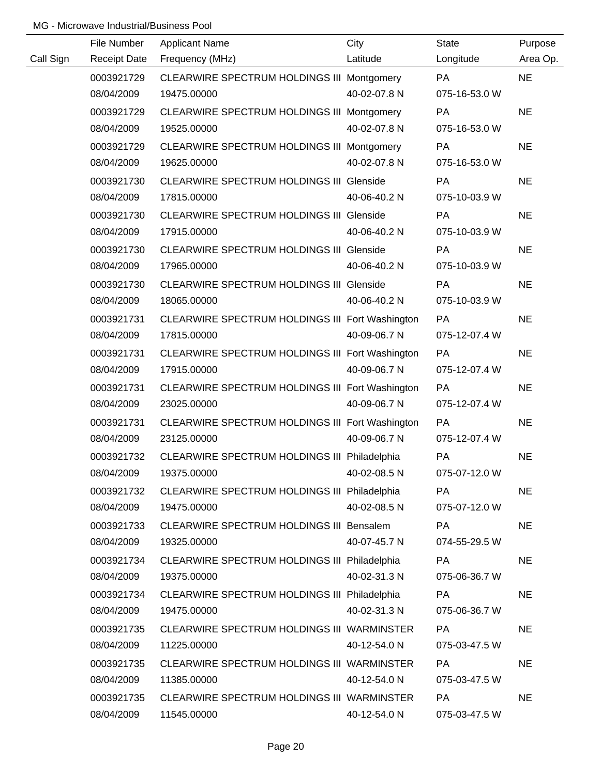|           | File Number         | <b>Applicant Name</b>                           | City         | <b>State</b>  | Purpose   |
|-----------|---------------------|-------------------------------------------------|--------------|---------------|-----------|
| Call Sign | <b>Receipt Date</b> | Frequency (MHz)                                 | Latitude     | Longitude     | Area Op.  |
|           | 0003921729          | CLEARWIRE SPECTRUM HOLDINGS III Montgomery      |              | <b>PA</b>     | <b>NE</b> |
|           | 08/04/2009          | 19475.00000                                     | 40-02-07.8 N | 075-16-53.0 W |           |
|           | 0003921729          | CLEARWIRE SPECTRUM HOLDINGS III Montgomery      |              | <b>PA</b>     | <b>NE</b> |
|           | 08/04/2009          | 19525.00000                                     | 40-02-07.8 N | 075-16-53.0 W |           |
|           | 0003921729          | CLEARWIRE SPECTRUM HOLDINGS III Montgomery      |              | <b>PA</b>     | <b>NE</b> |
|           | 08/04/2009          | 19625.00000                                     | 40-02-07.8 N | 075-16-53.0 W |           |
|           | 0003921730          | <b>CLEARWIRE SPECTRUM HOLDINGS III Glenside</b> |              | PA            | <b>NE</b> |
|           | 08/04/2009          | 17815.00000                                     | 40-06-40.2 N | 075-10-03.9 W |           |
|           | 0003921730          | <b>CLEARWIRE SPECTRUM HOLDINGS III Glenside</b> |              | PA            | <b>NE</b> |
|           | 08/04/2009          | 17915.00000                                     | 40-06-40.2 N | 075-10-03.9 W |           |
|           | 0003921730          | <b>CLEARWIRE SPECTRUM HOLDINGS III Glenside</b> |              | PA            | <b>NE</b> |
|           | 08/04/2009          | 17965.00000                                     | 40-06-40.2 N | 075-10-03.9 W |           |
|           | 0003921730          | <b>CLEARWIRE SPECTRUM HOLDINGS III Glenside</b> |              | <b>PA</b>     | <b>NE</b> |
|           | 08/04/2009          | 18065.00000                                     | 40-06-40.2 N | 075-10-03.9 W |           |
|           | 0003921731          | CLEARWIRE SPECTRUM HOLDINGS III Fort Washington |              | PA            | <b>NE</b> |
|           | 08/04/2009          | 17815.00000                                     | 40-09-06.7 N | 075-12-07.4 W |           |
|           | 0003921731          | CLEARWIRE SPECTRUM HOLDINGS III Fort Washington |              | <b>PA</b>     | <b>NE</b> |
|           | 08/04/2009          | 17915.00000                                     | 40-09-06.7 N | 075-12-07.4 W |           |
|           | 0003921731          | CLEARWIRE SPECTRUM HOLDINGS III Fort Washington |              | PA            | <b>NE</b> |
|           | 08/04/2009          | 23025.00000                                     | 40-09-06.7 N | 075-12-07.4 W |           |
|           | 0003921731          | CLEARWIRE SPECTRUM HOLDINGS III Fort Washington |              | PA            | <b>NE</b> |
|           | 08/04/2009          | 23125.00000                                     | 40-09-06.7 N | 075-12-07.4 W |           |
|           | 0003921732          | CLEARWIRE SPECTRUM HOLDINGS III Philadelphia    |              | PA            | <b>NE</b> |
|           | 08/04/2009          | 19375.00000                                     | 40-02-08.5 N | 075-07-12.0 W |           |
|           | 0003921732          | CLEARWIRE SPECTRUM HOLDINGS III Philadelphia    |              | <b>PA</b>     | <b>NE</b> |
|           | 08/04/2009          | 19475.00000                                     | 40-02-08.5 N | 075-07-12.0 W |           |
|           | 0003921733          | CLEARWIRE SPECTRUM HOLDINGS III Bensalem        |              | PA            | <b>NE</b> |
|           | 08/04/2009          | 19325.00000                                     | 40-07-45.7 N | 074-55-29.5 W |           |
|           | 0003921734          | CLEARWIRE SPECTRUM HOLDINGS III Philadelphia    |              | PA            | <b>NE</b> |
|           | 08/04/2009          | 19375.00000                                     | 40-02-31.3 N | 075-06-36.7 W |           |
|           | 0003921734          | CLEARWIRE SPECTRUM HOLDINGS III Philadelphia    |              | PA            | <b>NE</b> |
|           | 08/04/2009          | 19475.00000                                     | 40-02-31.3 N | 075-06-36.7 W |           |
|           | 0003921735          | CLEARWIRE SPECTRUM HOLDINGS III WARMINSTER      |              | <b>PA</b>     | <b>NE</b> |
|           | 08/04/2009          | 11225.00000                                     | 40-12-54.0 N | 075-03-47.5 W |           |
|           | 0003921735          | CLEARWIRE SPECTRUM HOLDINGS III WARMINSTER      |              | <b>PA</b>     | <b>NE</b> |
|           | 08/04/2009          | 11385.00000                                     | 40-12-54.0 N | 075-03-47.5 W |           |
|           | 0003921735          | CLEARWIRE SPECTRUM HOLDINGS III WARMINSTER      |              | PA            | <b>NE</b> |
|           | 08/04/2009          | 11545.00000                                     | 40-12-54.0 N | 075-03-47.5 W |           |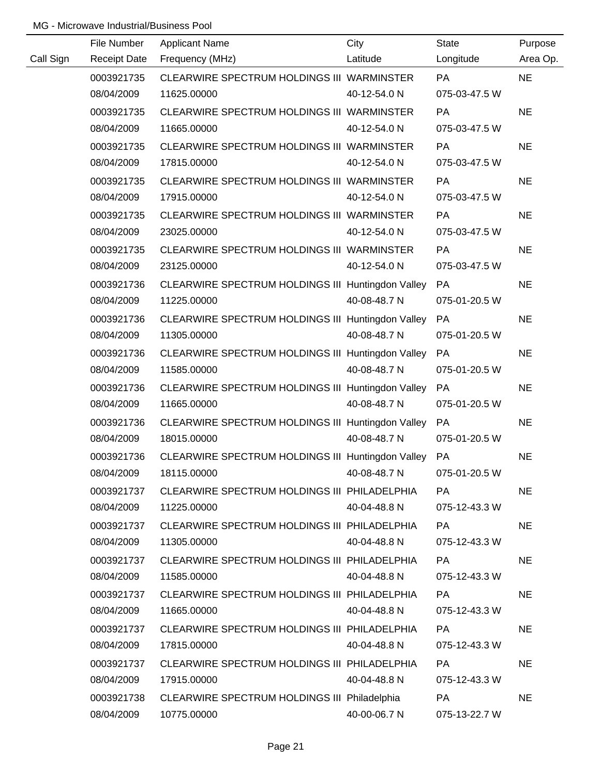|           | File Number         | <b>Applicant Name</b>                                | City         | <b>State</b>  | Purpose   |
|-----------|---------------------|------------------------------------------------------|--------------|---------------|-----------|
| Call Sign | <b>Receipt Date</b> | Frequency (MHz)                                      | Latitude     | Longitude     | Area Op.  |
|           | 0003921735          | CLEARWIRE SPECTRUM HOLDINGS III WARMINSTER           |              | PA            | <b>NE</b> |
|           | 08/04/2009          | 11625.00000                                          | 40-12-54.0 N | 075-03-47.5 W |           |
|           | 0003921735          | CLEARWIRE SPECTRUM HOLDINGS III WARMINSTER           |              | PA            | <b>NE</b> |
|           | 08/04/2009          | 11665.00000                                          | 40-12-54.0 N | 075-03-47.5 W |           |
|           | 0003921735          | CLEARWIRE SPECTRUM HOLDINGS III WARMINSTER           |              | PA            | <b>NE</b> |
|           | 08/04/2009          | 17815.00000                                          | 40-12-54.0 N | 075-03-47.5 W |           |
|           | 0003921735          | CLEARWIRE SPECTRUM HOLDINGS III WARMINSTER           |              | <b>PA</b>     | <b>NE</b> |
|           | 08/04/2009          | 17915.00000                                          | 40-12-54.0 N | 075-03-47.5 W |           |
|           | 0003921735          | CLEARWIRE SPECTRUM HOLDINGS III WARMINSTER           |              | <b>PA</b>     | <b>NE</b> |
|           | 08/04/2009          | 23025.00000                                          | 40-12-54.0 N | 075-03-47.5 W |           |
|           | 0003921735          | CLEARWIRE SPECTRUM HOLDINGS III WARMINSTER           |              | PA            | <b>NE</b> |
|           | 08/04/2009          | 23125.00000                                          | 40-12-54.0 N | 075-03-47.5 W |           |
|           | 0003921736          | CLEARWIRE SPECTRUM HOLDINGS III Huntingdon Valley    |              | PA            | <b>NE</b> |
|           | 08/04/2009          | 11225.00000                                          | 40-08-48.7 N | 075-01-20.5 W |           |
|           | 0003921736          | CLEARWIRE SPECTRUM HOLDINGS III Huntingdon Valley    |              | PA            | <b>NE</b> |
|           | 08/04/2009          | 11305.00000                                          | 40-08-48.7 N | 075-01-20.5 W |           |
|           | 0003921736          | CLEARWIRE SPECTRUM HOLDINGS III Huntingdon Valley    |              | PA            | <b>NE</b> |
|           | 08/04/2009          | 11585.00000                                          | 40-08-48.7 N | 075-01-20.5 W |           |
|           | 0003921736          | CLEARWIRE SPECTRUM HOLDINGS III Huntingdon Valley    |              | PA            | <b>NE</b> |
|           | 08/04/2009          | 11665.00000                                          | 40-08-48.7 N | 075-01-20.5 W |           |
|           | 0003921736          | CLEARWIRE SPECTRUM HOLDINGS III Huntingdon Valley    |              | PA            | <b>NE</b> |
|           | 08/04/2009          | 18015.00000                                          | 40-08-48.7 N | 075-01-20.5 W |           |
|           | 0003921736          | CLEARWIRE SPECTRUM HOLDINGS III Huntingdon Valley PA |              |               | <b>NE</b> |
|           | 08/04/2009          | 18115.00000                                          | 40-08-48.7 N | 075-01-20.5 W |           |
|           | 0003921737          | CLEARWIRE SPECTRUM HOLDINGS III PHILADELPHIA         |              | <b>PA</b>     | <b>NE</b> |
|           | 08/04/2009          | 11225.00000                                          | 40-04-48.8 N | 075-12-43.3 W |           |
|           | 0003921737          | CLEARWIRE SPECTRUM HOLDINGS III PHILADELPHIA         |              | PA            | <b>NE</b> |
|           | 08/04/2009          | 11305.00000                                          | 40-04-48.8 N | 075-12-43.3 W |           |
|           | 0003921737          | CLEARWIRE SPECTRUM HOLDINGS III PHILADELPHIA         |              | PA            | <b>NE</b> |
|           | 08/04/2009          | 11585.00000                                          | 40-04-48.8 N | 075-12-43.3 W |           |
|           | 0003921737          | CLEARWIRE SPECTRUM HOLDINGS III PHILADELPHIA         |              | PA            | <b>NE</b> |
|           | 08/04/2009          | 11665.00000                                          | 40-04-48.8 N | 075-12-43.3 W |           |
|           | 0003921737          | CLEARWIRE SPECTRUM HOLDINGS III PHILADELPHIA         |              | PA            | <b>NE</b> |
|           | 08/04/2009          | 17815.00000                                          | 40-04-48.8 N | 075-12-43.3 W |           |
|           | 0003921737          | CLEARWIRE SPECTRUM HOLDINGS III PHILADELPHIA         |              | <b>PA</b>     | <b>NE</b> |
|           | 08/04/2009          | 17915.00000                                          | 40-04-48.8 N | 075-12-43.3 W |           |
|           | 0003921738          | CLEARWIRE SPECTRUM HOLDINGS III Philadelphia         |              | PA            | <b>NE</b> |
|           | 08/04/2009          | 10775.00000                                          | 40-00-06.7 N | 075-13-22.7 W |           |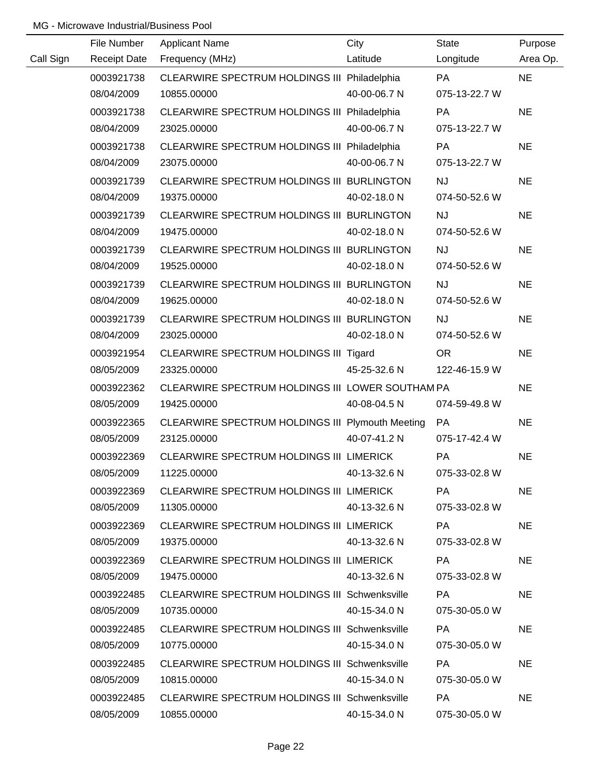|           | File Number         | <b>Applicant Name</b>                                | City         | <b>State</b>  | Purpose   |
|-----------|---------------------|------------------------------------------------------|--------------|---------------|-----------|
| Call Sign | <b>Receipt Date</b> | Frequency (MHz)                                      | Latitude     | Longitude     | Area Op.  |
|           | 0003921738          | CLEARWIRE SPECTRUM HOLDINGS III Philadelphia         |              | <b>PA</b>     | <b>NE</b> |
|           | 08/04/2009          | 10855.00000                                          | 40-00-06.7 N | 075-13-22.7 W |           |
|           | 0003921738          | CLEARWIRE SPECTRUM HOLDINGS III Philadelphia         |              | PA            | <b>NE</b> |
|           | 08/04/2009          | 23025.00000                                          | 40-00-06.7 N | 075-13-22.7 W |           |
|           | 0003921738          | CLEARWIRE SPECTRUM HOLDINGS III Philadelphia         |              | PA            | <b>NE</b> |
|           | 08/04/2009          | 23075.00000                                          | 40-00-06.7 N | 075-13-22.7 W |           |
|           | 0003921739          | CLEARWIRE SPECTRUM HOLDINGS III BURLINGTON           |              | <b>NJ</b>     | <b>NE</b> |
|           | 08/04/2009          | 19375.00000                                          | 40-02-18.0 N | 074-50-52.6 W |           |
|           | 0003921739          | CLEARWIRE SPECTRUM HOLDINGS III BURLINGTON           |              | <b>NJ</b>     | <b>NE</b> |
|           | 08/04/2009          | 19475.00000                                          | 40-02-18.0 N | 074-50-52.6 W |           |
|           | 0003921739          | CLEARWIRE SPECTRUM HOLDINGS III BURLINGTON           |              | <b>NJ</b>     | <b>NE</b> |
|           | 08/04/2009          | 19525.00000                                          | 40-02-18.0 N | 074-50-52.6 W |           |
|           | 0003921739          | CLEARWIRE SPECTRUM HOLDINGS III BURLINGTON           |              | <b>NJ</b>     | <b>NE</b> |
|           | 08/04/2009          | 19625.00000                                          | 40-02-18.0 N | 074-50-52.6 W |           |
|           | 0003921739          | CLEARWIRE SPECTRUM HOLDINGS III BURLINGTON           |              | <b>NJ</b>     | <b>NE</b> |
|           | 08/04/2009          | 23025.00000                                          | 40-02-18.0 N | 074-50-52.6 W |           |
|           | 0003921954          | CLEARWIRE SPECTRUM HOLDINGS III Tigard               |              | OR.           | <b>NE</b> |
|           | 08/05/2009          | 23325.00000                                          | 45-25-32.6 N | 122-46-15.9 W |           |
|           | 0003922362          | CLEARWIRE SPECTRUM HOLDINGS III LOWER SOUTHAM PA     |              |               | <b>NE</b> |
|           | 08/05/2009          | 19425.00000                                          | 40-08-04.5 N | 074-59-49.8 W |           |
|           | 0003922365          | CLEARWIRE SPECTRUM HOLDINGS III Plymouth Meeting     |              | PA            | <b>NE</b> |
|           | 08/05/2009          | 23125.00000                                          | 40-07-41.2 N | 075-17-42.4 W |           |
|           | 0003922369          | CLEARWIRE SPECTRUM HOLDINGS III LIMERICK             |              | PA            | <b>NE</b> |
|           | 08/05/2009          | 11225.00000                                          | 40-13-32.6 N | 075-33-02.8 W |           |
|           | 0003922369          | CLEARWIRE SPECTRUM HOLDINGS III LIMERICK             |              | PA.           | <b>NE</b> |
|           | 08/05/2009          | 11305.00000                                          | 40-13-32.6 N | 075-33-02.8 W |           |
|           | 0003922369          | CLEARWIRE SPECTRUM HOLDINGS III LIMERICK             |              | PA.           | <b>NE</b> |
|           | 08/05/2009          | 19375.00000                                          | 40-13-32.6 N | 075-33-02.8 W |           |
|           | 0003922369          | CLEARWIRE SPECTRUM HOLDINGS III LIMERICK             |              | <b>PA</b>     | <b>NE</b> |
|           | 08/05/2009          | 19475.00000                                          | 40-13-32.6 N | 075-33-02.8 W |           |
|           | 0003922485          | <b>CLEARWIRE SPECTRUM HOLDINGS III Schwenksville</b> |              | PA            | <b>NE</b> |
|           | 08/05/2009          | 10735.00000                                          | 40-15-34.0 N | 075-30-05.0 W |           |
|           | 0003922485          | CLEARWIRE SPECTRUM HOLDINGS III Schwenksville        |              | PA.           | <b>NE</b> |
|           | 08/05/2009          | 10775.00000                                          | 40-15-34.0 N | 075-30-05.0 W |           |
|           | 0003922485          | <b>CLEARWIRE SPECTRUM HOLDINGS III Schwenksville</b> |              | PA.           | <b>NE</b> |
|           | 08/05/2009          | 10815.00000                                          | 40-15-34.0 N | 075-30-05.0 W |           |
|           | 0003922485          | <b>CLEARWIRE SPECTRUM HOLDINGS III Schwenksville</b> |              | <b>PA</b>     | <b>NE</b> |
|           | 08/05/2009          | 10855.00000                                          | 40-15-34.0 N | 075-30-05.0 W |           |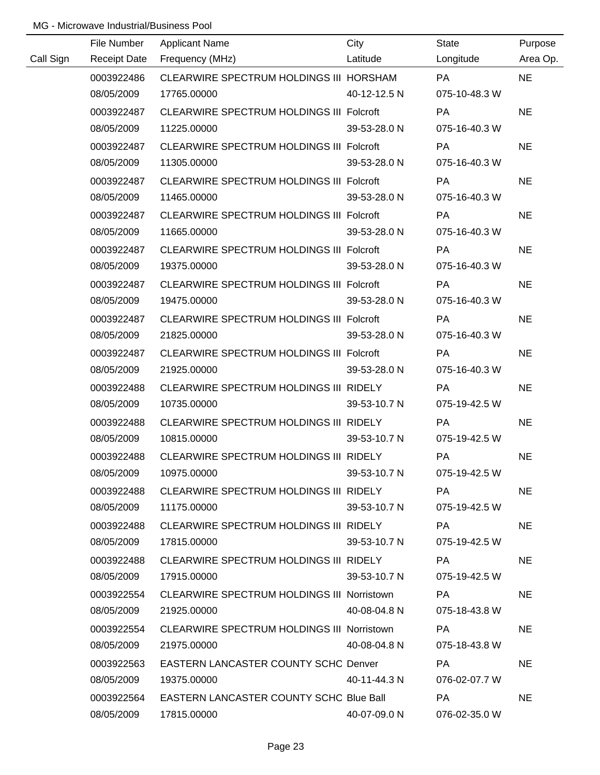|           | File Number | <b>Applicant Name</b>                      | City                      | <b>State</b>  | Purpose   |
|-----------|-------------|--------------------------------------------|---------------------------|---------------|-----------|
| Call Sign |             | Receipt Date Frequency (MHz)               | <b>Example 1</b> Latitude | Longitude     | Area Op.  |
|           | 0003922486  | CLEARWIRE SPECTRUM HOLDINGS III HORSHAM    |                           | <b>PA</b>     | <b>NE</b> |
|           | 08/05/2009  | 17765.00000                                | 40-12-12.5 N              | 075-10-48.3 W |           |
|           | 0003922487  | CLEARWIRE SPECTRUM HOLDINGS III Folcroft   |                           | <b>PA</b>     | <b>NE</b> |
|           | 08/05/2009  | 11225.00000                                | 39-53-28.0 N              | 075-16-40.3 W |           |
|           | 0003922487  | CLEARWIRE SPECTRUM HOLDINGS III Folcroft   |                           | <b>PA</b>     | <b>NE</b> |
|           | 08/05/2009  | 11305.00000                                | 39-53-28.0 N              | 075-16-40.3 W |           |
|           | 0003922487  | CLEARWIRE SPECTRUM HOLDINGS III Folcroft   |                           | PA            | <b>NE</b> |
|           | 08/05/2009  | 11465.00000                                | 39-53-28.0 N              | 075-16-40.3 W |           |
|           | 0003922487  | CLEARWIRE SPECTRUM HOLDINGS III Folcroft   |                           | <b>PA</b>     | <b>NE</b> |
|           | 08/05/2009  | 11665.00000                                | 39-53-28.0 N              | 075-16-40.3 W |           |
|           | 0003922487  | CLEARWIRE SPECTRUM HOLDINGS III Folcroft   |                           | PA            | <b>NE</b> |
|           | 08/05/2009  | 19375.00000                                | 39-53-28.0 N              | 075-16-40.3 W |           |
|           | 0003922487  | CLEARWIRE SPECTRUM HOLDINGS III Folcroft   |                           | <b>PA</b>     | <b>NE</b> |
|           | 08/05/2009  | 19475.00000                                | 39-53-28.0 N              | 075-16-40.3 W |           |
|           | 0003922487  | CLEARWIRE SPECTRUM HOLDINGS III Folcroft   |                           | PA            | <b>NE</b> |
|           | 08/05/2009  | 21825.00000                                | 39-53-28.0 N              | 075-16-40.3 W |           |
|           | 0003922487  | CLEARWIRE SPECTRUM HOLDINGS III Folcroft   |                           | <b>PA</b>     | <b>NE</b> |
|           | 08/05/2009  | 21925.00000                                | 39-53-28.0 N              | 075-16-40.3 W |           |
|           | 0003922488  | CLEARWIRE SPECTRUM HOLDINGS III RIDELY     |                           | <b>PA</b>     | <b>NE</b> |
|           | 08/05/2009  | 10735.00000                                | 39-53-10.7 N              | 075-19-42.5 W |           |
|           | 0003922488  | CLEARWIRE SPECTRUM HOLDINGS III RIDELY     |                           | PA            | <b>NE</b> |
|           | 08/05/2009  | 10815.00000                                | 39-53-10.7 N              | 075-19-42.5 W |           |
|           | 0003922488  | CLEARWIRE SPECTRUM HOLDINGS III RIDELY     |                           | PA            | <b>NE</b> |
|           | 08/05/2009  | 10975.00000                                | 39-53-10.7 N              | 075-19-42.5 W |           |
|           | 0003922488  | CLEARWIRE SPECTRUM HOLDINGS III RIDELY     |                           | <b>PA</b>     | <b>NE</b> |
|           | 08/05/2009  | 11175.00000                                | 39-53-10.7 N              | 075-19-42.5 W |           |
|           | 0003922488  | CLEARWIRE SPECTRUM HOLDINGS III RIDELY     |                           | PA            | <b>NE</b> |
|           | 08/05/2009  | 17815.00000                                | 39-53-10.7 N              | 075-19-42.5 W |           |
|           | 0003922488  | CLEARWIRE SPECTRUM HOLDINGS III RIDELY     |                           | PA            | <b>NE</b> |
|           | 08/05/2009  | 17915.00000                                | 39-53-10.7 N              | 075-19-42.5 W |           |
|           | 0003922554  | CLEARWIRE SPECTRUM HOLDINGS III Norristown |                           | PA            | <b>NE</b> |
|           | 08/05/2009  | 21925.00000                                | 40-08-04.8 N              | 075-18-43.8 W |           |
|           | 0003922554  | CLEARWIRE SPECTRUM HOLDINGS III Norristown |                           | PA            | <b>NE</b> |
|           | 08/05/2009  | 21975.00000                                | 40-08-04.8 N              | 075-18-43.8 W |           |
|           | 0003922563  | EASTERN LANCASTER COUNTY SCHC Denver       |                           | PA            | <b>NE</b> |
|           | 08/05/2009  | 19375.00000                                | 40-11-44.3 N              | 076-02-07.7 W |           |
|           | 0003922564  | EASTERN LANCASTER COUNTY SCHC Blue Ball    |                           | PA            | <b>NE</b> |
|           | 08/05/2009  | 17815.00000                                | 40-07-09.0 N              | 076-02-35.0 W |           |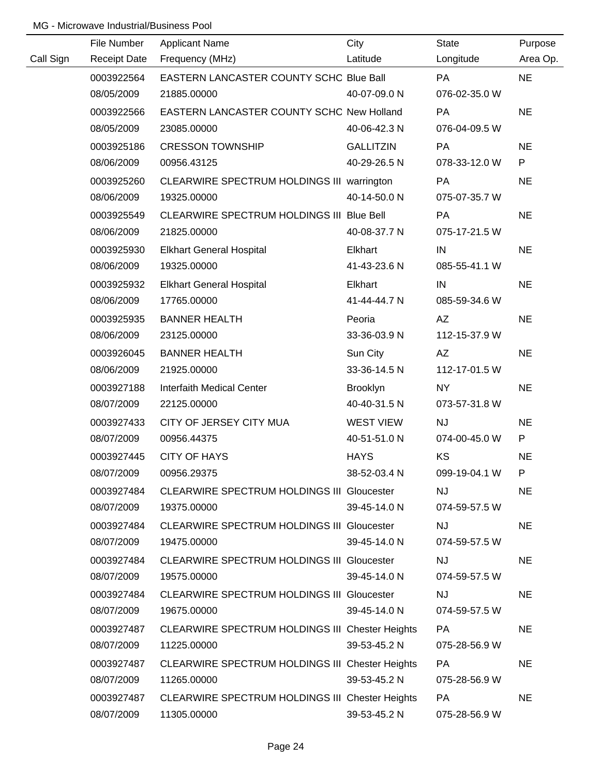|           | File Number         | <b>Applicant Name</b>                             | City             | <b>State</b>  | Purpose   |
|-----------|---------------------|---------------------------------------------------|------------------|---------------|-----------|
| Call Sign | <b>Receipt Date</b> | Frequency (MHz)                                   | Latitude         | Longitude     | Area Op.  |
|           | 0003922564          | EASTERN LANCASTER COUNTY SCHC Blue Ball           |                  | <b>PA</b>     | <b>NE</b> |
|           | 08/05/2009          | 21885.00000                                       | 40-07-09.0 N     | 076-02-35.0 W |           |
|           | 0003922566          | EASTERN LANCASTER COUNTY SCHC New Holland         |                  | PA            | <b>NE</b> |
|           | 08/05/2009          | 23085.00000                                       | 40-06-42.3 N     | 076-04-09.5 W |           |
|           | 0003925186          | <b>CRESSON TOWNSHIP</b>                           | <b>GALLITZIN</b> | <b>PA</b>     | <b>NE</b> |
|           | 08/06/2009          | 00956.43125                                       | 40-29-26.5 N     | 078-33-12.0 W | P         |
|           | 0003925260          | CLEARWIRE SPECTRUM HOLDINGS III warrington        |                  | PA            | <b>NE</b> |
|           | 08/06/2009          | 19325.00000                                       | 40-14-50.0 N     | 075-07-35.7 W |           |
|           | 0003925549          | CLEARWIRE SPECTRUM HOLDINGS III Blue Bell         |                  | PA            | <b>NE</b> |
|           | 08/06/2009          | 21825.00000                                       | 40-08-37.7 N     | 075-17-21.5 W |           |
|           | 0003925930          | <b>Elkhart General Hospital</b>                   | Elkhart          | IN            | <b>NE</b> |
|           | 08/06/2009          | 19325.00000                                       | 41-43-23.6 N     | 085-55-41.1 W |           |
|           | 0003925932          | <b>Elkhart General Hospital</b>                   | Elkhart          | IN            | <b>NE</b> |
|           | 08/06/2009          | 17765.00000                                       | 41-44-44.7 N     | 085-59-34.6 W |           |
|           | 0003925935          | <b>BANNER HEALTH</b>                              | Peoria           | AZ            | <b>NE</b> |
|           | 08/06/2009          | 23125.00000                                       | 33-36-03.9 N     | 112-15-37.9 W |           |
|           | 0003926045          | <b>BANNER HEALTH</b>                              | Sun City         | AZ            | <b>NE</b> |
|           | 08/06/2009          | 21925.00000                                       | 33-36-14.5 N     | 112-17-01.5 W |           |
|           | 0003927188          | Interfaith Medical Center                         | Brooklyn         | NY            | <b>NE</b> |
|           | 08/07/2009          | 22125.00000                                       | 40-40-31.5 N     | 073-57-31.8 W |           |
|           | 0003927433          | CITY OF JERSEY CITY MUA                           | WEST VIEW        | <b>NJ</b>     | <b>NE</b> |
|           | 08/07/2009          | 00956.44375                                       | 40-51-51.0 N     | 074-00-45.0 W | P         |
|           | 0003927445          | <b>CITY OF HAYS</b>                               | <b>HAYS</b>      | KS            | <b>NE</b> |
|           | 08/07/2009          | 00956.29375                                       | 38-52-03.4 N     | 099-19-04.1 W | P         |
|           | 0003927484          | CLEARWIRE SPECTRUM HOLDINGS III Gloucester        |                  | <b>NJ</b>     | <b>NE</b> |
|           | 08/07/2009          | 19375.00000                                       | 39-45-14.0 N     | 074-59-57.5 W |           |
|           | 0003927484          | <b>CLEARWIRE SPECTRUM HOLDINGS III Gloucester</b> |                  | <b>NJ</b>     | <b>NE</b> |
|           | 08/07/2009          | 19475.00000                                       | 39-45-14.0 N     | 074-59-57.5 W |           |
|           | 0003927484          | <b>CLEARWIRE SPECTRUM HOLDINGS III Gloucester</b> |                  | <b>NJ</b>     | <b>NE</b> |
|           | 08/07/2009          | 19575.00000                                       | 39-45-14.0 N     | 074-59-57.5 W |           |
|           | 0003927484          | <b>CLEARWIRE SPECTRUM HOLDINGS III Gloucester</b> |                  | <b>NJ</b>     | <b>NE</b> |
|           | 08/07/2009          | 19675.00000                                       | 39-45-14.0 N     | 074-59-57.5 W |           |
|           | 0003927487          | CLEARWIRE SPECTRUM HOLDINGS III Chester Heights   |                  | <b>PA</b>     | <b>NE</b> |
|           | 08/07/2009          | 11225.00000                                       | 39-53-45.2 N     | 075-28-56.9 W |           |
|           | 0003927487          | CLEARWIRE SPECTRUM HOLDINGS III Chester Heights   |                  | <b>PA</b>     | <b>NE</b> |
|           | 08/07/2009          | 11265.00000                                       | 39-53-45.2 N     | 075-28-56.9 W |           |
|           | 0003927487          | CLEARWIRE SPECTRUM HOLDINGS III Chester Heights   |                  | <b>PA</b>     | <b>NE</b> |
|           | 08/07/2009          | 11305.00000                                       | 39-53-45.2 N     | 075-28-56.9 W |           |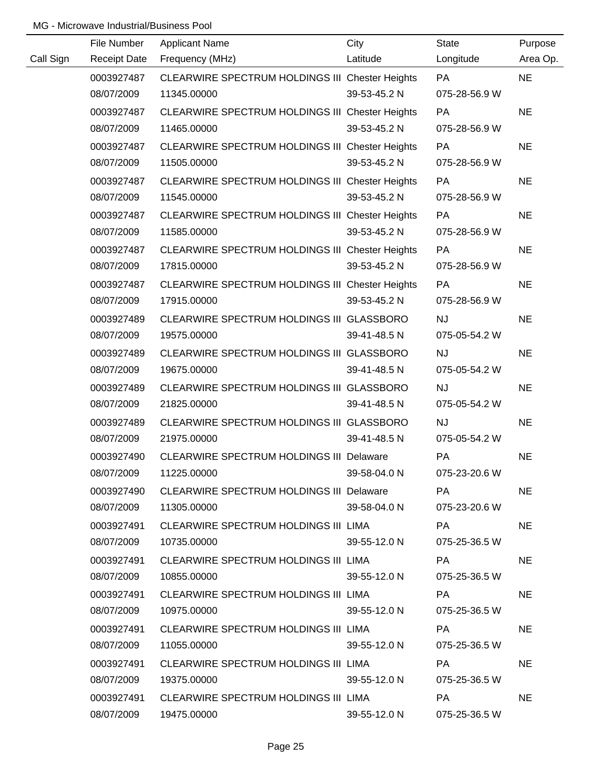|           | File Number         | <b>Applicant Name</b>                           | City         | <b>State</b>  | Purpose   |
|-----------|---------------------|-------------------------------------------------|--------------|---------------|-----------|
| Call Sign | <b>Receipt Date</b> | Frequency (MHz)                                 | Latitude     | Longitude     | Area Op.  |
|           | 0003927487          | CLEARWIRE SPECTRUM HOLDINGS III Chester Heights |              | <b>PA</b>     | <b>NE</b> |
|           | 08/07/2009          | 11345.00000                                     | 39-53-45.2 N | 075-28-56.9 W |           |
|           | 0003927487          | CLEARWIRE SPECTRUM HOLDINGS III Chester Heights |              | PA            | <b>NE</b> |
|           | 08/07/2009          | 11465.00000                                     | 39-53-45.2 N | 075-28-56.9 W |           |
|           | 0003927487          | CLEARWIRE SPECTRUM HOLDINGS III Chester Heights |              | <b>PA</b>     | <b>NE</b> |
|           | 08/07/2009          | 11505.00000                                     | 39-53-45.2 N | 075-28-56.9 W |           |
|           | 0003927487          | CLEARWIRE SPECTRUM HOLDINGS III Chester Heights |              | <b>PA</b>     | <b>NE</b> |
|           | 08/07/2009          | 11545.00000                                     | 39-53-45.2 N | 075-28-56.9 W |           |
|           | 0003927487          | CLEARWIRE SPECTRUM HOLDINGS III Chester Heights |              | PA            | <b>NE</b> |
|           | 08/07/2009          | 11585.00000                                     | 39-53-45.2 N | 075-28-56.9 W |           |
|           | 0003927487          | CLEARWIRE SPECTRUM HOLDINGS III Chester Heights |              | PA            | <b>NE</b> |
|           | 08/07/2009          | 17815.00000                                     | 39-53-45.2 N | 075-28-56.9 W |           |
|           | 0003927487          | CLEARWIRE SPECTRUM HOLDINGS III Chester Heights |              | <b>PA</b>     | <b>NE</b> |
|           | 08/07/2009          | 17915.00000                                     | 39-53-45.2 N | 075-28-56.9 W |           |
|           | 0003927489          | CLEARWIRE SPECTRUM HOLDINGS III GLASSBORO       |              | <b>NJ</b>     | <b>NE</b> |
|           | 08/07/2009          | 19575.00000                                     | 39-41-48.5 N | 075-05-54.2 W |           |
|           | 0003927489          | CLEARWIRE SPECTRUM HOLDINGS III GLASSBORO       |              | <b>NJ</b>     | <b>NE</b> |
|           | 08/07/2009          | 19675.00000                                     | 39-41-48.5 N | 075-05-54.2 W |           |
|           | 0003927489          | CLEARWIRE SPECTRUM HOLDINGS III GLASSBORO       |              | <b>NJ</b>     | <b>NE</b> |
|           | 08/07/2009          | 21825.00000                                     | 39-41-48.5 N | 075-05-54.2 W |           |
|           | 0003927489          | CLEARWIRE SPECTRUM HOLDINGS III GLASSBORO       |              | NJ            | <b>NE</b> |
|           | 08/07/2009          | 21975.00000                                     | 39-41-48.5 N | 075-05-54.2 W |           |
|           | 0003927490          | <b>CLEARWIRE SPECTRUM HOLDINGS III Delaware</b> |              | PA            | <b>NE</b> |
|           | 08/07/2009          | 11225.00000                                     | 39-58-04.0 N | 075-23-20.6 W |           |
|           | 0003927490          | CLEARWIRE SPECTRUM HOLDINGS III Delaware        |              | PA            | <b>NE</b> |
|           | 08/07/2009          | 11305.00000                                     | 39-58-04.0 N | 075-23-20.6 W |           |
|           | 0003927491          | CLEARWIRE SPECTRUM HOLDINGS III LIMA            |              | PA            | <b>NE</b> |
|           | 08/07/2009          | 10735.00000                                     | 39-55-12.0 N | 075-25-36.5 W |           |
|           | 0003927491          | CLEARWIRE SPECTRUM HOLDINGS III LIMA            |              | PA            | <b>NE</b> |
|           | 08/07/2009          | 10855.00000                                     | 39-55-12.0 N | 075-25-36.5 W |           |
|           | 0003927491          | CLEARWIRE SPECTRUM HOLDINGS III LIMA            |              | PA            | <b>NE</b> |
|           | 08/07/2009          | 10975.00000                                     | 39-55-12.0 N | 075-25-36.5 W |           |
|           | 0003927491          | CLEARWIRE SPECTRUM HOLDINGS III LIMA            |              | PA            | <b>NE</b> |
|           | 08/07/2009          | 11055.00000                                     | 39-55-12.0 N | 075-25-36.5 W |           |
|           | 0003927491          | CLEARWIRE SPECTRUM HOLDINGS III LIMA            |              | PA            | <b>NE</b> |
|           | 08/07/2009          | 19375.00000                                     | 39-55-12.0 N | 075-25-36.5 W |           |
|           | 0003927491          | CLEARWIRE SPECTRUM HOLDINGS III LIMA            |              | PA            | <b>NE</b> |
|           | 08/07/2009          | 19475.00000                                     | 39-55-12.0 N | 075-25-36.5 W |           |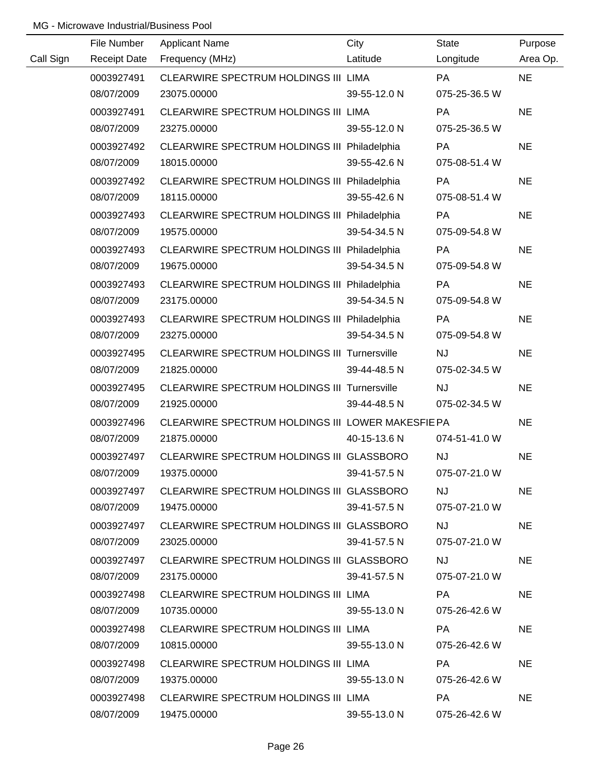|           | File Number         | <b>Applicant Name</b>                             | City         | <b>State</b>  | Purpose   |
|-----------|---------------------|---------------------------------------------------|--------------|---------------|-----------|
| Call Sign | <b>Receipt Date</b> | Frequency (MHz)                                   | Latitude     | Longitude     | Area Op.  |
|           | 0003927491          | CLEARWIRE SPECTRUM HOLDINGS III LIMA              |              | <b>PA</b>     | <b>NE</b> |
|           | 08/07/2009          | 23075.00000                                       | 39-55-12.0 N | 075-25-36.5 W |           |
|           | 0003927491          | CLEARWIRE SPECTRUM HOLDINGS III LIMA              |              | PA            | <b>NE</b> |
|           | 08/07/2009          | 23275.00000                                       | 39-55-12.0 N | 075-25-36.5 W |           |
|           | 0003927492          | CLEARWIRE SPECTRUM HOLDINGS III Philadelphia      |              | PA            | <b>NE</b> |
|           | 08/07/2009          | 18015.00000                                       | 39-55-42.6 N | 075-08-51.4 W |           |
|           | 0003927492          | CLEARWIRE SPECTRUM HOLDINGS III Philadelphia      |              | PA            | <b>NE</b> |
|           | 08/07/2009          | 18115.00000                                       | 39-55-42.6 N | 075-08-51.4 W |           |
|           | 0003927493          | CLEARWIRE SPECTRUM HOLDINGS III Philadelphia      |              | PA            | <b>NE</b> |
|           | 08/07/2009          | 19575.00000                                       | 39-54-34.5 N | 075-09-54.8 W |           |
|           | 0003927493          | CLEARWIRE SPECTRUM HOLDINGS III Philadelphia      |              | PA            | <b>NE</b> |
|           | 08/07/2009          | 19675.00000                                       | 39-54-34.5 N | 075-09-54.8 W |           |
|           | 0003927493          | CLEARWIRE SPECTRUM HOLDINGS III Philadelphia      |              | PA            | <b>NE</b> |
|           | 08/07/2009          | 23175.00000                                       | 39-54-34.5 N | 075-09-54.8 W |           |
|           | 0003927493          | CLEARWIRE SPECTRUM HOLDINGS III Philadelphia      |              | <b>PA</b>     | <b>NE</b> |
|           | 08/07/2009          | 23275.00000                                       | 39-54-34.5 N | 075-09-54.8 W |           |
|           | 0003927495          | CLEARWIRE SPECTRUM HOLDINGS III Turnersville      |              | <b>NJ</b>     | <b>NE</b> |
|           | 08/07/2009          | 21825.00000                                       | 39-44-48.5 N | 075-02-34.5 W |           |
|           | 0003927495          | CLEARWIRE SPECTRUM HOLDINGS III Turnersville      |              | <b>NJ</b>     | <b>NE</b> |
|           | 08/07/2009          | 21925.00000                                       | 39-44-48.5 N | 075-02-34.5 W |           |
|           | 0003927496          | CLEARWIRE SPECTRUM HOLDINGS III LOWER MAKESFIE PA |              |               | <b>NE</b> |
|           | 08/07/2009          | 21875.00000                                       | 40-15-13.6 N | 074-51-41.0 W |           |
|           | 0003927497          | CLEARWIRE SPECTRUM HOLDINGS III GLASSBORO         |              | <b>NJ</b>     | <b>NE</b> |
|           | 08/07/2009          | 19375.00000                                       | 39-41-57.5 N | 075-07-21.0 W |           |
|           | 0003927497          | CLEARWIRE SPECTRUM HOLDINGS III GLASSBORO         |              | <b>NJ</b>     | <b>NE</b> |
|           | 08/07/2009          | 19475.00000                                       | 39-41-57.5 N | 075-07-21.0 W |           |
|           | 0003927497          | CLEARWIRE SPECTRUM HOLDINGS III GLASSBORO         |              | <b>NJ</b>     | <b>NE</b> |
|           | 08/07/2009          | 23025.00000                                       | 39-41-57.5 N | 075-07-21.0 W |           |
|           | 0003927497          | CLEARWIRE SPECTRUM HOLDINGS III GLASSBORO         |              | <b>NJ</b>     | <b>NE</b> |
|           | 08/07/2009          | 23175.00000                                       | 39-41-57.5 N | 075-07-21.0 W |           |
|           | 0003927498          | CLEARWIRE SPECTRUM HOLDINGS III LIMA              |              | PA            | <b>NE</b> |
|           | 08/07/2009          | 10735.00000                                       | 39-55-13.0 N | 075-26-42.6 W |           |
|           | 0003927498          | CLEARWIRE SPECTRUM HOLDINGS III LIMA              |              | PA.           | <b>NE</b> |
|           | 08/07/2009          | 10815.00000                                       | 39-55-13.0 N | 075-26-42.6 W |           |
|           | 0003927498          | CLEARWIRE SPECTRUM HOLDINGS III LIMA              |              | <b>PA</b>     | <b>NE</b> |
|           | 08/07/2009          | 19375.00000                                       | 39-55-13.0 N | 075-26-42.6 W |           |
|           | 0003927498          | CLEARWIRE SPECTRUM HOLDINGS III LIMA              |              | <b>PA</b>     | <b>NE</b> |
|           | 08/07/2009          | 19475.00000                                       | 39-55-13.0 N | 075-26-42.6 W |           |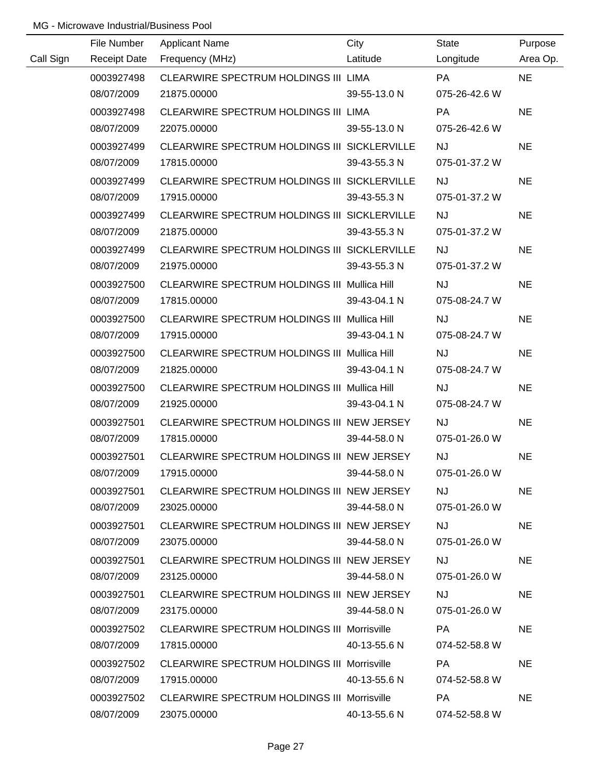|           | File Number         | <b>Applicant Name</b>                              | City         | <b>State</b>  | Purpose   |
|-----------|---------------------|----------------------------------------------------|--------------|---------------|-----------|
| Call Sign | <b>Receipt Date</b> | Frequency (MHz)                                    | Latitude     | Longitude     | Area Op.  |
|           | 0003927498          | CLEARWIRE SPECTRUM HOLDINGS III LIMA               |              | <b>PA</b>     | <b>NE</b> |
|           | 08/07/2009          | 21875.00000                                        | 39-55-13.0 N | 075-26-42.6 W |           |
|           | 0003927498          | CLEARWIRE SPECTRUM HOLDINGS III LIMA               |              | PA            | <b>NE</b> |
|           | 08/07/2009          | 22075.00000                                        | 39-55-13.0 N | 075-26-42.6 W |           |
|           | 0003927499          | CLEARWIRE SPECTRUM HOLDINGS III SICKLERVILLE       |              | <b>NJ</b>     | <b>NE</b> |
|           | 08/07/2009          | 17815.00000                                        | 39-43-55.3 N | 075-01-37.2 W |           |
|           | 0003927499          | CLEARWIRE SPECTRUM HOLDINGS III SICKLERVILLE       |              | <b>NJ</b>     | <b>NE</b> |
|           | 08/07/2009          | 17915.00000                                        | 39-43-55.3 N | 075-01-37.2 W |           |
|           | 0003927499          | CLEARWIRE SPECTRUM HOLDINGS III SICKLERVILLE       |              | <b>NJ</b>     | <b>NE</b> |
|           | 08/07/2009          | 21875.00000                                        | 39-43-55.3 N | 075-01-37.2 W |           |
|           | 0003927499          | CLEARWIRE SPECTRUM HOLDINGS III SICKLERVILLE       |              | <b>NJ</b>     | <b>NE</b> |
|           | 08/07/2009          | 21975.00000                                        | 39-43-55.3 N | 075-01-37.2 W |           |
|           | 0003927500          | CLEARWIRE SPECTRUM HOLDINGS III Mullica Hill       |              | <b>NJ</b>     | <b>NE</b> |
|           | 08/07/2009          | 17815.00000                                        | 39-43-04.1 N | 075-08-24.7 W |           |
|           | 0003927500          | CLEARWIRE SPECTRUM HOLDINGS III Mullica Hill       |              | <b>NJ</b>     | <b>NE</b> |
|           | 08/07/2009          | 17915.00000                                        | 39-43-04.1 N | 075-08-24.7 W |           |
|           | 0003927500          | CLEARWIRE SPECTRUM HOLDINGS III Mullica Hill       |              | NJ            | <b>NE</b> |
|           | 08/07/2009          | 21825.00000                                        | 39-43-04.1 N | 075-08-24.7 W |           |
|           | 0003927500          | CLEARWIRE SPECTRUM HOLDINGS III Mullica Hill       |              | NJ            | <b>NE</b> |
|           | 08/07/2009          | 21925.00000                                        | 39-43-04.1 N | 075-08-24.7 W |           |
|           | 0003927501          | CLEARWIRE SPECTRUM HOLDINGS III NEW JERSEY         |              | NJ            | <b>NE</b> |
|           | 08/07/2009          | 17815.00000                                        | 39-44-58.0 N | 075-01-26.0 W |           |
|           | 0003927501          | CLEARWIRE SPECTRUM HOLDINGS III NEW JERSEY         |              | <b>NJ</b>     | <b>NE</b> |
|           | 08/07/2009          | 17915.00000                                        | 39-44-58.0 N | 075-01-26.0 W |           |
|           | 0003927501          | CLEARWIRE SPECTRUM HOLDINGS III NEW JERSEY         |              | <b>NJ</b>     | <b>NE</b> |
|           | 08/07/2009          | 23025.00000                                        | 39-44-58.0 N | 075-01-26.0 W |           |
|           | 0003927501          | CLEARWIRE SPECTRUM HOLDINGS III NEW JERSEY         |              | NJ.           | <b>NE</b> |
|           | 08/07/2009          | 23075.00000                                        | 39-44-58.0 N | 075-01-26.0 W |           |
|           | 0003927501          | CLEARWIRE SPECTRUM HOLDINGS III NEW JERSEY         |              | NJ            | <b>NE</b> |
|           | 08/07/2009          | 23125.00000                                        | 39-44-58.0 N | 075-01-26.0 W |           |
|           | 0003927501          | CLEARWIRE SPECTRUM HOLDINGS III NEW JERSEY         |              | NJ            | <b>NE</b> |
|           | 08/07/2009          | 23175.00000                                        | 39-44-58.0 N | 075-01-26.0 W |           |
|           | 0003927502          | CLEARWIRE SPECTRUM HOLDINGS III Morrisville        |              | PA            | <b>NE</b> |
|           | 08/07/2009          | 17815.00000                                        | 40-13-55.6 N | 074-52-58.8 W |           |
|           | 0003927502          | <b>CLEARWIRE SPECTRUM HOLDINGS III Morrisville</b> |              | <b>PA</b>     | <b>NE</b> |
|           | 08/07/2009          | 17915.00000                                        | 40-13-55.6 N | 074-52-58.8 W |           |
|           | 0003927502          | <b>CLEARWIRE SPECTRUM HOLDINGS III Morrisville</b> |              | <b>PA</b>     | <b>NE</b> |
|           | 08/07/2009          | 23075.00000                                        | 40-13-55.6 N | 074-52-58.8 W |           |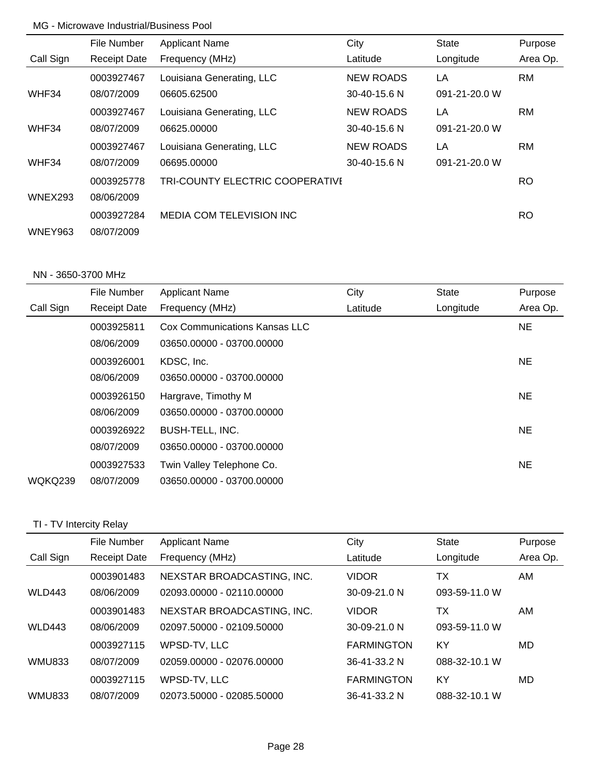|                | File Number         | <b>Applicant Name</b>           | City               | <b>State</b>  | Purpose   |
|----------------|---------------------|---------------------------------|--------------------|---------------|-----------|
| Call Sign      | <b>Receipt Date</b> | Frequency (MHz)                 | Latitude           | Longitude     | Area Op.  |
|                | 0003927467          | Louisiana Generating, LLC       | <b>NEW ROADS</b>   | LA            | <b>RM</b> |
| WHF34          | 08/07/2009          | 06605.62500                     | $30 - 40 - 15.6$ N | 091-21-20.0 W |           |
|                | 0003927467          | Louisiana Generating, LLC       | <b>NEW ROADS</b>   | LA            | RM        |
| WHF34          | 08/07/2009          | 06625.00000                     | 30-40-15.6 N       | 091-21-20.0 W |           |
|                | 0003927467          | Louisiana Generating, LLC       | <b>NEW ROADS</b>   | LA            | <b>RM</b> |
| WHF34          | 08/07/2009          | 06695.00000                     | 30-40-15.6 N       | 091-21-20.0 W |           |
|                | 0003925778          | TRI-COUNTY ELECTRIC COOPERATIVE |                    |               | RO.       |
| WNEX293        | 08/06/2009          |                                 |                    |               |           |
|                | 0003927284          | <b>MEDIA COM TELEVISION INC</b> |                    |               | RO.       |
| <b>WNEY963</b> | 08/07/2009          |                                 |                    |               |           |

### NN - 3650-3700 MHz

|           | File Number         | <b>Applicant Name</b>         | City     | <b>State</b> | Purpose   |
|-----------|---------------------|-------------------------------|----------|--------------|-----------|
| Call Sign | <b>Receipt Date</b> | Frequency (MHz)               | Latitude | Longitude    | Area Op.  |
|           | 0003925811          | Cox Communications Kansas LLC |          |              | <b>NE</b> |
|           | 08/06/2009          | 03650.00000 - 03700.00000     |          |              |           |
|           | 0003926001          | KDSC, Inc.                    |          |              | <b>NE</b> |
|           | 08/06/2009          | 03650.00000 - 03700.00000     |          |              |           |
|           | 0003926150          | Hargrave, Timothy M           |          |              | <b>NE</b> |
|           | 08/06/2009          | 03650.00000 - 03700.00000     |          |              |           |
|           | 0003926922          | <b>BUSH-TELL, INC.</b>        |          |              | <b>NE</b> |
|           | 08/07/2009          | 03650.00000 - 03700.00000     |          |              |           |
|           | 0003927533          | Twin Valley Telephone Co.     |          |              | <b>NE</b> |
| WQKQ239   | 08/07/2009          | 03650.00000 - 03700.00000     |          |              |           |

## TI - TV Intercity Relay

|               | File Number         | <b>Applicant Name</b>      | City              | <b>State</b>  | Purpose  |
|---------------|---------------------|----------------------------|-------------------|---------------|----------|
| Call Sign     | <b>Receipt Date</b> | Frequency (MHz)            | Latitude          | Longitude     | Area Op. |
|               | 0003901483          | NEXSTAR BROADCASTING, INC. | <b>VIDOR</b>      | ТX            | AM       |
| WLD443        | 08/06/2009          | 02093.00000 - 02110.00000  | 30-09-21.0 N      | 093-59-11.0 W |          |
|               | 0003901483          | NEXSTAR BROADCASTING, INC. | <b>VIDOR</b>      | ТX            | AM       |
| <b>WLD443</b> | 08/06/2009          | 02097.50000 - 02109.50000  | 30-09-21.0 N      | 093-59-11.0 W |          |
|               | 0003927115          | WPSD-TV, LLC               | <b>FARMINGTON</b> | KY            | MD.      |
| <b>WMU833</b> | 08/07/2009          | 02059.00000 - 02076.00000  | 36-41-33.2 N      | 088-32-10.1 W |          |
|               | 0003927115          | WPSD-TV, LLC               | <b>FARMINGTON</b> | KY            | MD       |
| <b>WMU833</b> | 08/07/2009          | 02073.50000 - 02085.50000  | 36-41-33.2 N      | 088-32-10.1 W |          |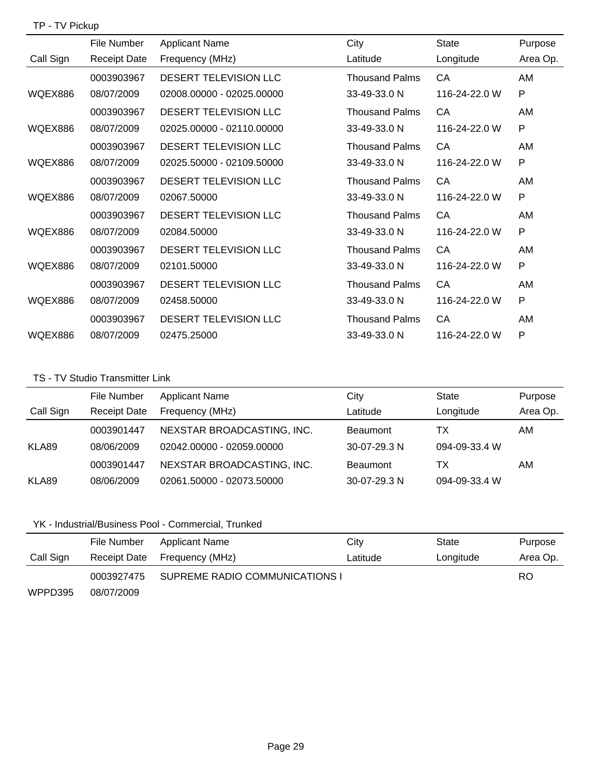## TP - TV Pickup

|           | File Number         | <b>Applicant Name</b>        | City                  | <b>State</b>  | Purpose  |
|-----------|---------------------|------------------------------|-----------------------|---------------|----------|
| Call Sign | <b>Receipt Date</b> | Frequency (MHz)              | Latitude              | Longitude     | Area Op. |
|           | 0003903967          | DESERT TELEVISION LLC        | <b>Thousand Palms</b> | CA            | AM       |
| WQEX886   | 08/07/2009          | 02008.00000 - 02025.00000    | 33-49-33.0 N          | 116-24-22.0 W | P        |
|           | 0003903967          | DESERT TELEVISION LLC        | <b>Thousand Palms</b> | CA            | AM       |
| WQEX886   | 08/07/2009          | 02025.00000 - 02110.00000    | 33-49-33.0 N          | 116-24-22.0 W | P        |
|           | 0003903967          | DESERT TELEVISION LLC        | <b>Thousand Palms</b> | <b>CA</b>     | AM       |
| WQEX886   | 08/07/2009          | 02025.50000 - 02109.50000    | 33-49-33.0 N          | 116-24-22.0 W | P        |
|           | 0003903967          | <b>DESERT TELEVISION LLC</b> | <b>Thousand Palms</b> | CA            | AM       |
| WQEX886   | 08/07/2009          | 02067.50000                  | 33-49-33.0 N          | 116-24-22.0 W | P        |
|           | 0003903967          | DESERT TELEVISION LLC        | <b>Thousand Palms</b> | CA            | AM       |
| WQEX886   | 08/07/2009          | 02084.50000                  | 33-49-33.0 N          | 116-24-22.0 W | P        |
|           | 0003903967          | DESERT TELEVISION LLC        | <b>Thousand Palms</b> | CA            | AM       |
| WQEX886   | 08/07/2009          | 02101.50000                  | 33-49-33.0 N          | 116-24-22.0 W | P        |
|           | 0003903967          | DESERT TELEVISION LLC        | <b>Thousand Palms</b> | CA            | AM       |
| WQEX886   | 08/07/2009          | 02458.50000                  | 33-49-33.0 N          | 116-24-22.0 W | P        |
|           | 0003903967          | <b>DESERT TELEVISION LLC</b> | <b>Thousand Palms</b> | CA            | AM       |
| WQEX886   | 08/07/2009          | 02475.25000                  | 33-49-33.0 N          | 116-24-22.0 W | P        |

### TS - TV Studio Transmitter Link

|           | File Number         | <b>Applicant Name</b>      | City            | <b>State</b>  | Purpose  |
|-----------|---------------------|----------------------------|-----------------|---------------|----------|
| Call Sign | <b>Receipt Date</b> | Frequency (MHz)            | Latitude        | Longitude     | Area Op. |
|           | 0003901447          | NEXSTAR BROADCASTING, INC. | <b>Beaumont</b> | ТX            | AM       |
| KLA89     | 08/06/2009          | 02042.00000 - 02059.00000  | $30-07-29.3$ N  | 094-09-33.4 W |          |
|           | 0003901447          | NEXSTAR BROADCASTING, INC. | <b>Beaumont</b> | ТΧ            | AM       |
| KLA89     | 08/06/2009          | 02061.50000 - 02073.50000  | 30-07-29.3 N    | 094-09-33.4 W |          |

# YK - Industrial/Business Pool - Commercial, Trunked

|           | File Number  | Applicant Name                 | City     | State     | Purpose   |
|-----------|--------------|--------------------------------|----------|-----------|-----------|
| Call Sign | Receipt Date | Frequency (MHz)                | Latitude | Longitude | Area Op.  |
|           | 0003927475   | SUPREME RADIO COMMUNICATIONS I |          |           | <b>RO</b> |
| WPPD395   | 08/07/2009   |                                |          |           |           |